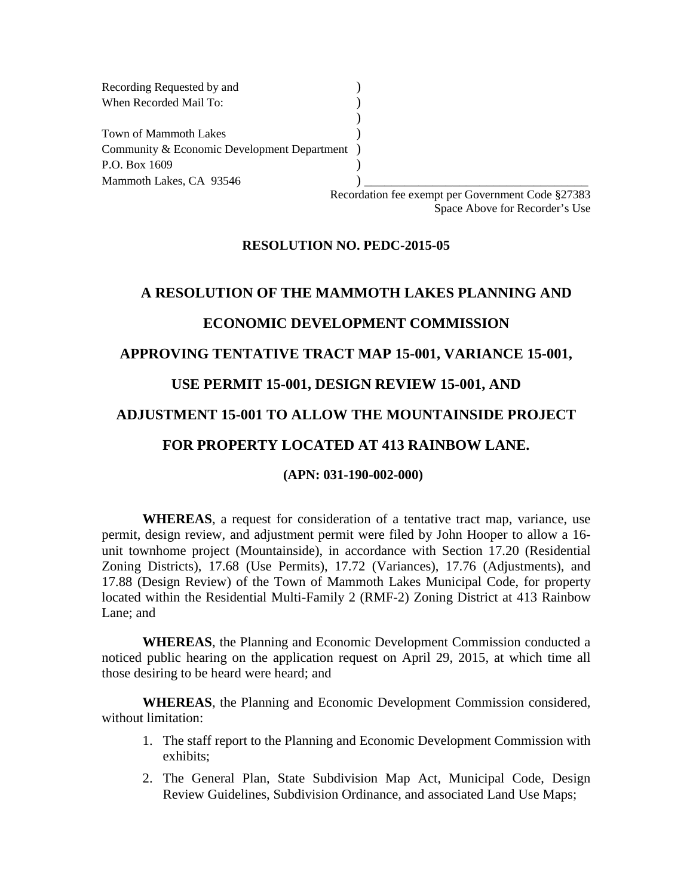Recording Requested by and () When Recorded Mail To: (a) ) Town of Mammoth Lakes (3) Community & Economic Development Department ) P.O. Box 1609 (a) Mammoth Lakes, CA 93546 **)** 

Recordation fee exempt per Government Code §27383 Space Above for Recorder's Use

#### **RESOLUTION NO. PEDC-2015-05**

# **A RESOLUTION OF THE MAMMOTH LAKES PLANNING AND**

### **ECONOMIC DEVELOPMENT COMMISSION**

#### **APPROVING TENTATIVE TRACT MAP 15-001, VARIANCE 15-001,**

### **USE PERMIT 15-001, DESIGN REVIEW 15-001, AND**

### **ADJUSTMENT 15-001 TO ALLOW THE MOUNTAINSIDE PROJECT**

# **FOR PROPERTY LOCATED AT 413 RAINBOW LANE.**

#### **(APN: 031-190-002-000)**

**WHEREAS**, a request for consideration of a tentative tract map, variance, use permit, design review, and adjustment permit were filed by John Hooper to allow a 16 unit townhome project (Mountainside), in accordance with Section 17.20 (Residential Zoning Districts), 17.68 (Use Permits), 17.72 (Variances), 17.76 (Adjustments), and 17.88 (Design Review) of the Town of Mammoth Lakes Municipal Code, for property located within the Residential Multi-Family 2 (RMF-2) Zoning District at 413 Rainbow Lane; and

**WHEREAS**, the Planning and Economic Development Commission conducted a noticed public hearing on the application request on April 29, 2015, at which time all those desiring to be heard were heard; and

**WHEREAS**, the Planning and Economic Development Commission considered, without limitation:

- 1. The staff report to the Planning and Economic Development Commission with exhibits;
- 2. The General Plan, State Subdivision Map Act, Municipal Code, Design Review Guidelines, Subdivision Ordinance, and associated Land Use Maps;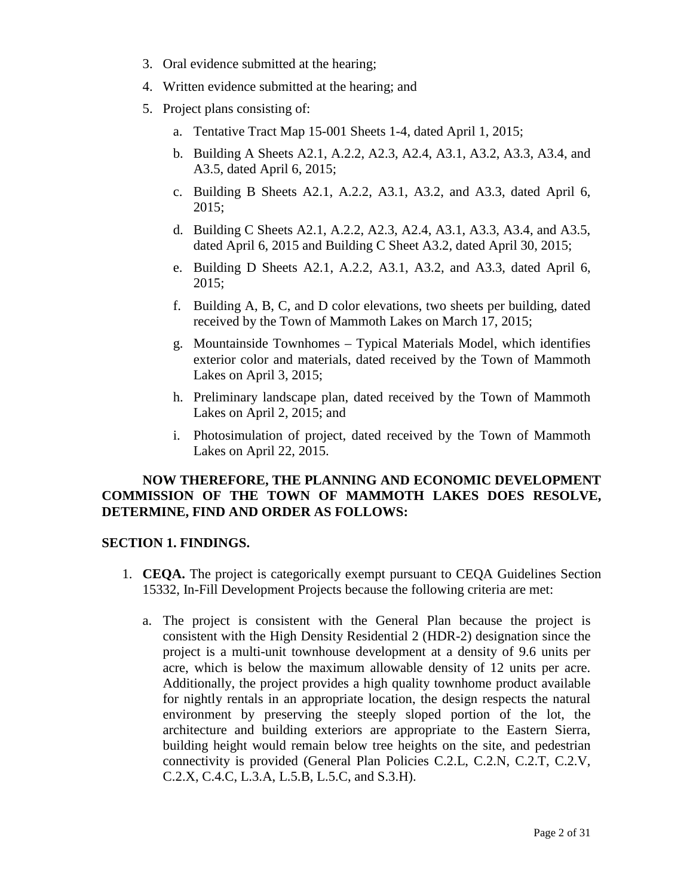- 3. Oral evidence submitted at the hearing;
- 4. Written evidence submitted at the hearing; and
- 5. Project plans consisting of:
	- a. Tentative Tract Map 15-001 Sheets 1-4, dated April 1, 2015;
	- b. Building A Sheets A2.1, A.2.2, A2.3, A2.4, A3.1, A3.2, A3.3, A3.4, and A3.5, dated April 6, 2015;
	- c. Building B Sheets A2.1, A.2.2, A3.1, A3.2, and A3.3, dated April 6, 2015;
	- d. Building C Sheets A2.1, A.2.2, A2.3, A2.4, A3.1, A3.3, A3.4, and A3.5, dated April 6, 2015 and Building C Sheet A3.2, dated April 30, 2015;
	- e. Building D Sheets A2.1, A.2.2, A3.1, A3.2, and A3.3, dated April 6, 2015;
	- f. Building A, B, C, and D color elevations, two sheets per building, dated received by the Town of Mammoth Lakes on March 17, 2015;
	- g. Mountainside Townhomes Typical Materials Model, which identifies exterior color and materials, dated received by the Town of Mammoth Lakes on April 3, 2015;
	- h. Preliminary landscape plan, dated received by the Town of Mammoth Lakes on April 2, 2015; and
	- i. Photosimulation of project, dated received by the Town of Mammoth Lakes on April 22, 2015.

### **NOW THEREFORE, THE PLANNING AND ECONOMIC DEVELOPMENT COMMISSION OF THE TOWN OF MAMMOTH LAKES DOES RESOLVE, DETERMINE, FIND AND ORDER AS FOLLOWS:**

#### **SECTION 1. FINDINGS.**

- 1. **CEQA.** The project is categorically exempt pursuant to CEQA Guidelines Section 15332, In-Fill Development Projects because the following criteria are met:
	- a. The project is consistent with the General Plan because the project is consistent with the High Density Residential 2 (HDR-2) designation since the project is a multi-unit townhouse development at a density of 9.6 units per acre, which is below the maximum allowable density of 12 units per acre. Additionally, the project provides a high quality townhome product available for nightly rentals in an appropriate location, the design respects the natural environment by preserving the steeply sloped portion of the lot, the architecture and building exteriors are appropriate to the Eastern Sierra, building height would remain below tree heights on the site, and pedestrian connectivity is provided (General Plan Policies C.2.L, C.2.N, C.2.T, C.2.V, C.2.X, C.4.C, L.3.A, L.5.B, L.5.C, and S.3.H).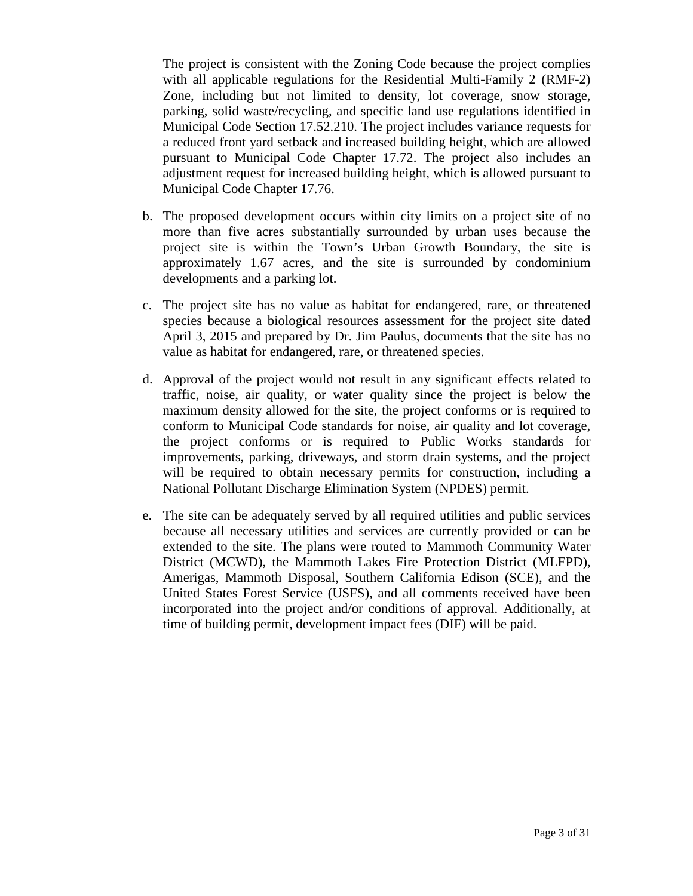The project is consistent with the Zoning Code because the project complies with all applicable regulations for the Residential Multi-Family 2 (RMF-2) Zone, including but not limited to density, lot coverage, snow storage, parking, solid waste/recycling, and specific land use regulations identified in Municipal Code Section 17.52.210. The project includes variance requests for a reduced front yard setback and increased building height, which are allowed pursuant to Municipal Code Chapter 17.72. The project also includes an adjustment request for increased building height, which is allowed pursuant to Municipal Code Chapter 17.76.

- b. The proposed development occurs within city limits on a project site of no more than five acres substantially surrounded by urban uses because the project site is within the Town's Urban Growth Boundary, the site is approximately 1.67 acres, and the site is surrounded by condominium developments and a parking lot.
- c. The project site has no value as habitat for endangered, rare, or threatened species because a biological resources assessment for the project site dated April 3, 2015 and prepared by Dr. Jim Paulus, documents that the site has no value as habitat for endangered, rare, or threatened species.
- d. Approval of the project would not result in any significant effects related to traffic, noise, air quality, or water quality since the project is below the maximum density allowed for the site, the project conforms or is required to conform to Municipal Code standards for noise, air quality and lot coverage, the project conforms or is required to Public Works standards for improvements, parking, driveways, and storm drain systems, and the project will be required to obtain necessary permits for construction, including a National Pollutant Discharge Elimination System (NPDES) permit.
- e. The site can be adequately served by all required utilities and public services because all necessary utilities and services are currently provided or can be extended to the site. The plans were routed to Mammoth Community Water District (MCWD), the Mammoth Lakes Fire Protection District (MLFPD), Amerigas, Mammoth Disposal, Southern California Edison (SCE), and the United States Forest Service (USFS), and all comments received have been incorporated into the project and/or conditions of approval. Additionally, at time of building permit, development impact fees (DIF) will be paid.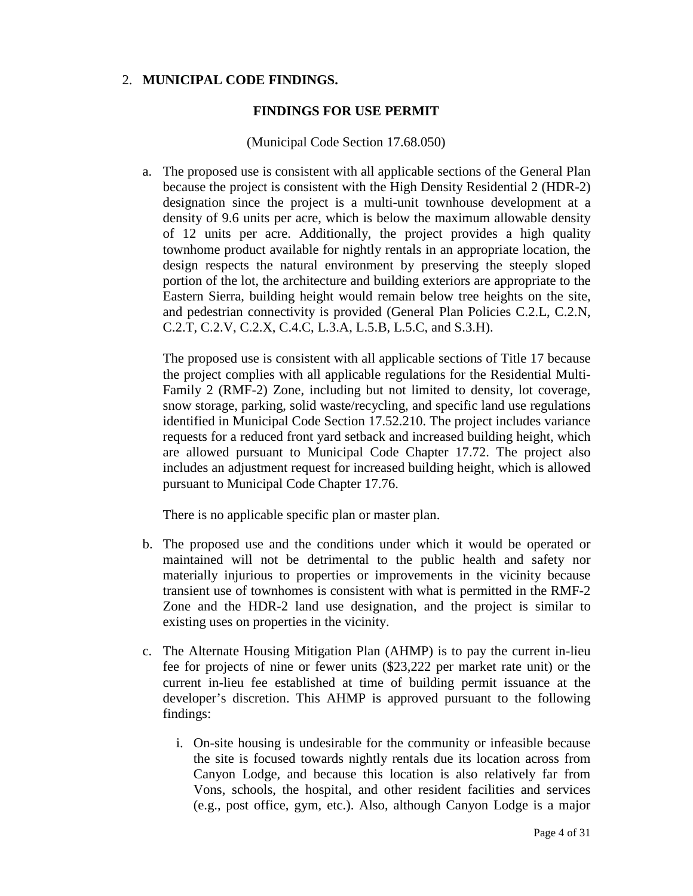### 2. **MUNICIPAL CODE FINDINGS.**

### **FINDINGS FOR USE PERMIT**

#### (Municipal Code Section 17.68.050)

a. The proposed use is consistent with all applicable sections of the General Plan because the project is consistent with the High Density Residential 2 (HDR-2) designation since the project is a multi-unit townhouse development at a density of 9.6 units per acre, which is below the maximum allowable density of 12 units per acre. Additionally, the project provides a high quality townhome product available for nightly rentals in an appropriate location, the design respects the natural environment by preserving the steeply sloped portion of the lot, the architecture and building exteriors are appropriate to the Eastern Sierra, building height would remain below tree heights on the site, and pedestrian connectivity is provided (General Plan Policies C.2.L, C.2.N, C.2.T, C.2.V, C.2.X, C.4.C, L.3.A, L.5.B, L.5.C, and S.3.H).

The proposed use is consistent with all applicable sections of Title 17 because the project complies with all applicable regulations for the Residential Multi-Family 2 (RMF-2) Zone, including but not limited to density, lot coverage, snow storage, parking, solid waste/recycling, and specific land use regulations identified in Municipal Code Section 17.52.210. The project includes variance requests for a reduced front yard setback and increased building height, which are allowed pursuant to Municipal Code Chapter 17.72. The project also includes an adjustment request for increased building height, which is allowed pursuant to Municipal Code Chapter 17.76.

There is no applicable specific plan or master plan.

- b. The proposed use and the conditions under which it would be operated or maintained will not be detrimental to the public health and safety nor materially injurious to properties or improvements in the vicinity because transient use of townhomes is consistent with what is permitted in the RMF-2 Zone and the HDR-2 land use designation, and the project is similar to existing uses on properties in the vicinity.
- c. The Alternate Housing Mitigation Plan (AHMP) is to pay the current in-lieu fee for projects of nine or fewer units (\$23,222 per market rate unit) or the current in-lieu fee established at time of building permit issuance at the developer's discretion. This AHMP is approved pursuant to the following findings:
	- i. On-site housing is undesirable for the community or infeasible because the site is focused towards nightly rentals due its location across from Canyon Lodge, and because this location is also relatively far from Vons, schools, the hospital, and other resident facilities and services (e.g., post office, gym, etc.). Also, although Canyon Lodge is a major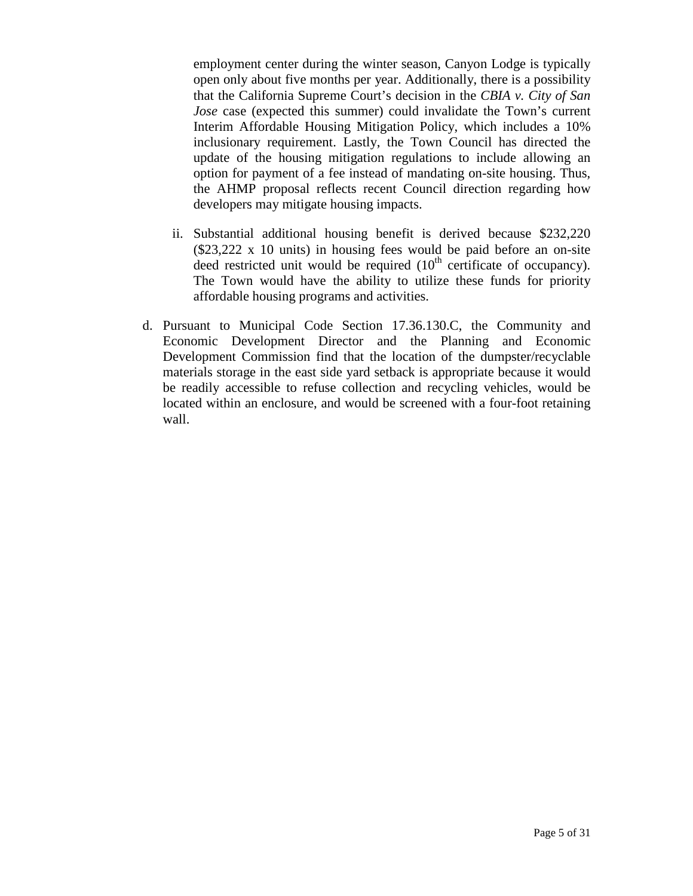employment center during the winter season, Canyon Lodge is typically open only about five months per year. Additionally, there is a possibility that the California Supreme Court's decision in the *CBIA v. City of San Jose* case (expected this summer) could invalidate the Town's current Interim Affordable Housing Mitigation Policy, which includes a 10% inclusionary requirement. Lastly, the Town Council has directed the update of the housing mitigation regulations to include allowing an option for payment of a fee instead of mandating on-site housing. Thus, the AHMP proposal reflects recent Council direction regarding how developers may mitigate housing impacts.

- ii. Substantial additional housing benefit is derived because \$232,220 (\$23,222 x 10 units) in housing fees would be paid before an on-site deed restricted unit would be required  $(10<sup>th</sup>$  certificate of occupancy). The Town would have the ability to utilize these funds for priority affordable housing programs and activities.
- d. Pursuant to Municipal Code Section 17.36.130.C, the Community and Economic Development Director and the Planning and Economic Development Commission find that the location of the dumpster/recyclable materials storage in the east side yard setback is appropriate because it would be readily accessible to refuse collection and recycling vehicles, would be located within an enclosure, and would be screened with a four-foot retaining wall.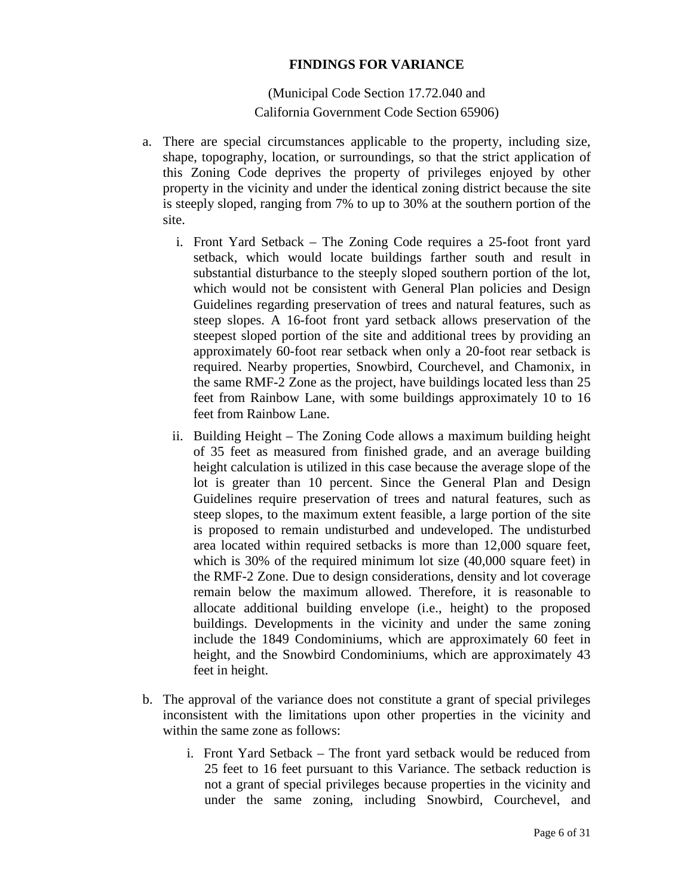#### **FINDINGS FOR VARIANCE**

(Municipal Code Section 17.72.040 and California Government Code Section 65906)

- a. There are special circumstances applicable to the property, including size, shape, topography, location, or surroundings, so that the strict application of this Zoning Code deprives the property of privileges enjoyed by other property in the vicinity and under the identical zoning district because the site is steeply sloped, ranging from 7% to up to 30% at the southern portion of the site.
	- i. Front Yard Setback The Zoning Code requires a 25-foot front yard setback, which would locate buildings farther south and result in substantial disturbance to the steeply sloped southern portion of the lot, which would not be consistent with General Plan policies and Design Guidelines regarding preservation of trees and natural features, such as steep slopes. A 16-foot front yard setback allows preservation of the steepest sloped portion of the site and additional trees by providing an approximately 60-foot rear setback when only a 20-foot rear setback is required. Nearby properties, Snowbird, Courchevel, and Chamonix, in the same RMF-2 Zone as the project, have buildings located less than 25 feet from Rainbow Lane, with some buildings approximately 10 to 16 feet from Rainbow Lane.
	- ii. Building Height The Zoning Code allows a maximum building height of 35 feet as measured from finished grade, and an average building height calculation is utilized in this case because the average slope of the lot is greater than 10 percent. Since the General Plan and Design Guidelines require preservation of trees and natural features, such as steep slopes, to the maximum extent feasible, a large portion of the site is proposed to remain undisturbed and undeveloped. The undisturbed area located within required setbacks is more than 12,000 square feet, which is 30% of the required minimum lot size (40,000 square feet) in the RMF-2 Zone. Due to design considerations, density and lot coverage remain below the maximum allowed. Therefore, it is reasonable to allocate additional building envelope (i.e., height) to the proposed buildings. Developments in the vicinity and under the same zoning include the 1849 Condominiums, which are approximately 60 feet in height, and the Snowbird Condominiums, which are approximately 43 feet in height.
- b. The approval of the variance does not constitute a grant of special privileges inconsistent with the limitations upon other properties in the vicinity and within the same zone as follows:
	- i. Front Yard Setback The front yard setback would be reduced from 25 feet to 16 feet pursuant to this Variance. The setback reduction is not a grant of special privileges because properties in the vicinity and under the same zoning, including Snowbird, Courchevel, and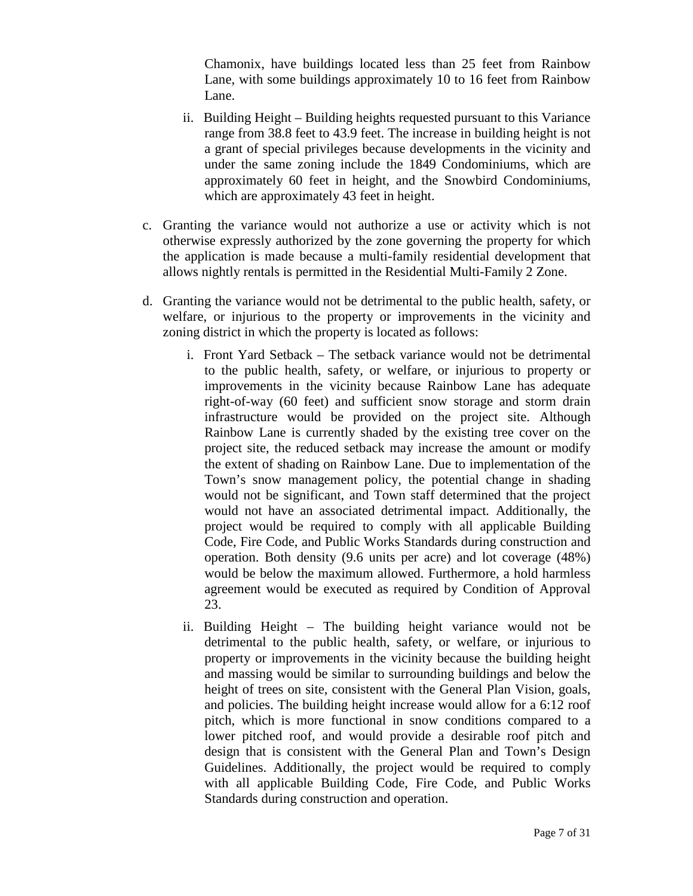Chamonix, have buildings located less than 25 feet from Rainbow Lane, with some buildings approximately 10 to 16 feet from Rainbow Lane.

- ii. Building Height Building heights requested pursuant to this Variance range from 38.8 feet to 43.9 feet. The increase in building height is not a grant of special privileges because developments in the vicinity and under the same zoning include the 1849 Condominiums, which are approximately 60 feet in height, and the Snowbird Condominiums, which are approximately 43 feet in height.
- c. Granting the variance would not authorize a use or activity which is not otherwise expressly authorized by the zone governing the property for which the application is made because a multi-family residential development that allows nightly rentals is permitted in the Residential Multi-Family 2 Zone.
- d. Granting the variance would not be detrimental to the public health, safety, or welfare, or injurious to the property or improvements in the vicinity and zoning district in which the property is located as follows:
	- i. Front Yard Setback The setback variance would not be detrimental to the public health, safety, or welfare, or injurious to property or improvements in the vicinity because Rainbow Lane has adequate right-of-way (60 feet) and sufficient snow storage and storm drain infrastructure would be provided on the project site. Although Rainbow Lane is currently shaded by the existing tree cover on the project site, the reduced setback may increase the amount or modify the extent of shading on Rainbow Lane. Due to implementation of the Town's snow management policy, the potential change in shading would not be significant, and Town staff determined that the project would not have an associated detrimental impact*.* Additionally, the project would be required to comply with all applicable Building Code, Fire Code, and Public Works Standards during construction and operation. Both density (9.6 units per acre) and lot coverage (48%) would be below the maximum allowed. Furthermore, a hold harmless agreement would be executed as required by Condition of Approval 23.
	- ii. Building Height The building height variance would not be detrimental to the public health, safety, or welfare, or injurious to property or improvements in the vicinity because the building height and massing would be similar to surrounding buildings and below the height of trees on site, consistent with the General Plan Vision, goals, and policies. The building height increase would allow for a 6:12 roof pitch, which is more functional in snow conditions compared to a lower pitched roof, and would provide a desirable roof pitch and design that is consistent with the General Plan and Town's Design Guidelines. Additionally, the project would be required to comply with all applicable Building Code, Fire Code, and Public Works Standards during construction and operation.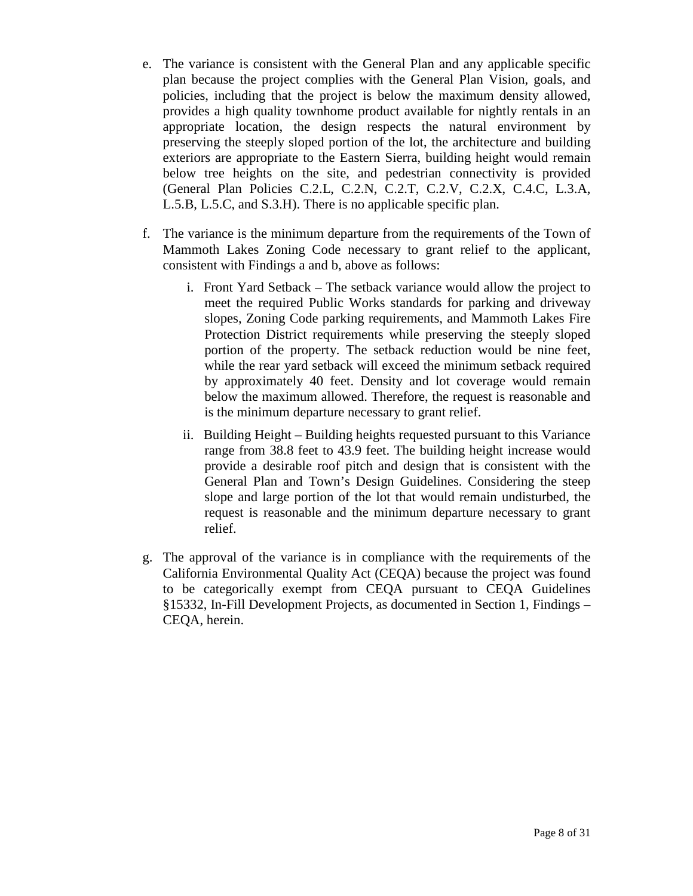- e. The variance is consistent with the General Plan and any applicable specific plan because the project complies with the General Plan Vision, goals, and policies, including that the project is below the maximum density allowed, provides a high quality townhome product available for nightly rentals in an appropriate location, the design respects the natural environment by preserving the steeply sloped portion of the lot, the architecture and building exteriors are appropriate to the Eastern Sierra, building height would remain below tree heights on the site, and pedestrian connectivity is provided (General Plan Policies C.2.L, C.2.N, C.2.T, C.2.V, C.2.X, C.4.C, L.3.A, L.5.B, L.5.C, and S.3.H). There is no applicable specific plan.
- f. The variance is the minimum departure from the requirements of the Town of Mammoth Lakes Zoning Code necessary to grant relief to the applicant, consistent with Findings a and b, above as follows:
	- i. Front Yard Setback The setback variance would allow the project to meet the required Public Works standards for parking and driveway slopes, Zoning Code parking requirements, and Mammoth Lakes Fire Protection District requirements while preserving the steeply sloped portion of the property. The setback reduction would be nine feet, while the rear yard setback will exceed the minimum setback required by approximately 40 feet. Density and lot coverage would remain below the maximum allowed. Therefore, the request is reasonable and is the minimum departure necessary to grant relief.
	- ii. Building Height Building heights requested pursuant to this Variance range from 38.8 feet to 43.9 feet. The building height increase would provide a desirable roof pitch and design that is consistent with the General Plan and Town's Design Guidelines. Considering the steep slope and large portion of the lot that would remain undisturbed, the request is reasonable and the minimum departure necessary to grant relief.
- g. The approval of the variance is in compliance with the requirements of the California Environmental Quality Act (CEQA) because the project was found to be categorically exempt from CEQA pursuant to CEQA Guidelines §15332, In-Fill Development Projects, as documented in Section 1, Findings – CEQA, herein.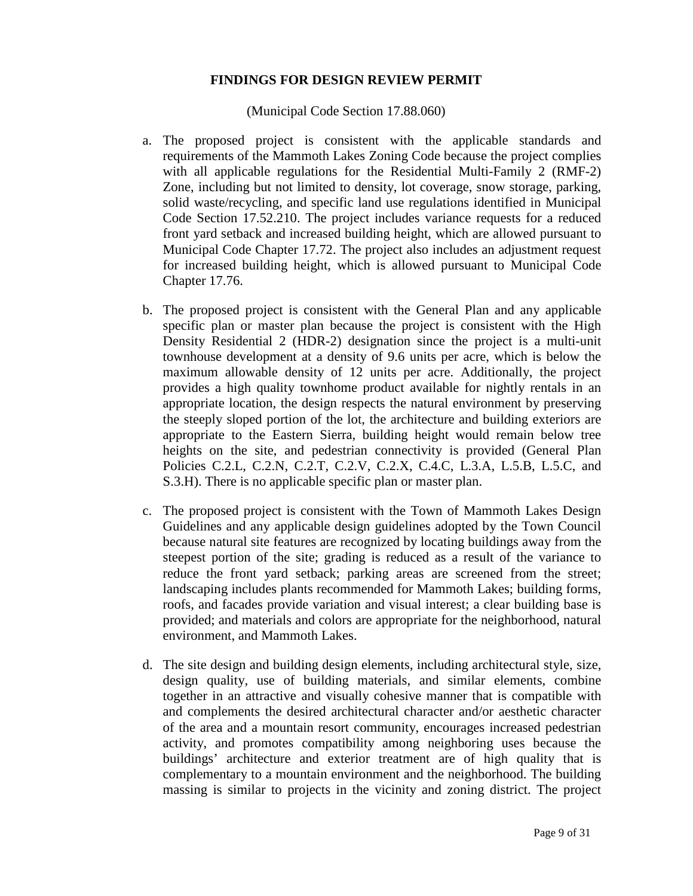### **FINDINGS FOR DESIGN REVIEW PERMIT**

(Municipal Code Section 17.88.060)

- a. The proposed project is consistent with the applicable standards and requirements of the Mammoth Lakes Zoning Code because the project complies with all applicable regulations for the Residential Multi-Family 2 (RMF-2) Zone, including but not limited to density, lot coverage, snow storage, parking, solid waste/recycling, and specific land use regulations identified in Municipal Code Section 17.52.210. The project includes variance requests for a reduced front yard setback and increased building height, which are allowed pursuant to Municipal Code Chapter 17.72. The project also includes an adjustment request for increased building height, which is allowed pursuant to Municipal Code Chapter 17.76.
- b. The proposed project is consistent with the General Plan and any applicable specific plan or master plan because the project is consistent with the High Density Residential 2 (HDR-2) designation since the project is a multi-unit townhouse development at a density of 9.6 units per acre, which is below the maximum allowable density of 12 units per acre. Additionally, the project provides a high quality townhome product available for nightly rentals in an appropriate location, the design respects the natural environment by preserving the steeply sloped portion of the lot, the architecture and building exteriors are appropriate to the Eastern Sierra, building height would remain below tree heights on the site, and pedestrian connectivity is provided (General Plan Policies C.2.L, C.2.N, C.2.T, C.2.V, C.2.X, C.4.C, L.3.A, L.5.B, L.5.C, and S.3.H). There is no applicable specific plan or master plan.
- c. The proposed project is consistent with the Town of Mammoth Lakes Design Guidelines and any applicable design guidelines adopted by the Town Council because natural site features are recognized by locating buildings away from the steepest portion of the site; grading is reduced as a result of the variance to reduce the front yard setback; parking areas are screened from the street; landscaping includes plants recommended for Mammoth Lakes; building forms, roofs, and facades provide variation and visual interest; a clear building base is provided; and materials and colors are appropriate for the neighborhood, natural environment, and Mammoth Lakes.
- d. The site design and building design elements, including architectural style, size, design quality, use of building materials, and similar elements, combine together in an attractive and visually cohesive manner that is compatible with and complements the desired architectural character and/or aesthetic character of the area and a mountain resort community, encourages increased pedestrian activity, and promotes compatibility among neighboring uses because the buildings' architecture and exterior treatment are of high quality that is complementary to a mountain environment and the neighborhood. The building massing is similar to projects in the vicinity and zoning district. The project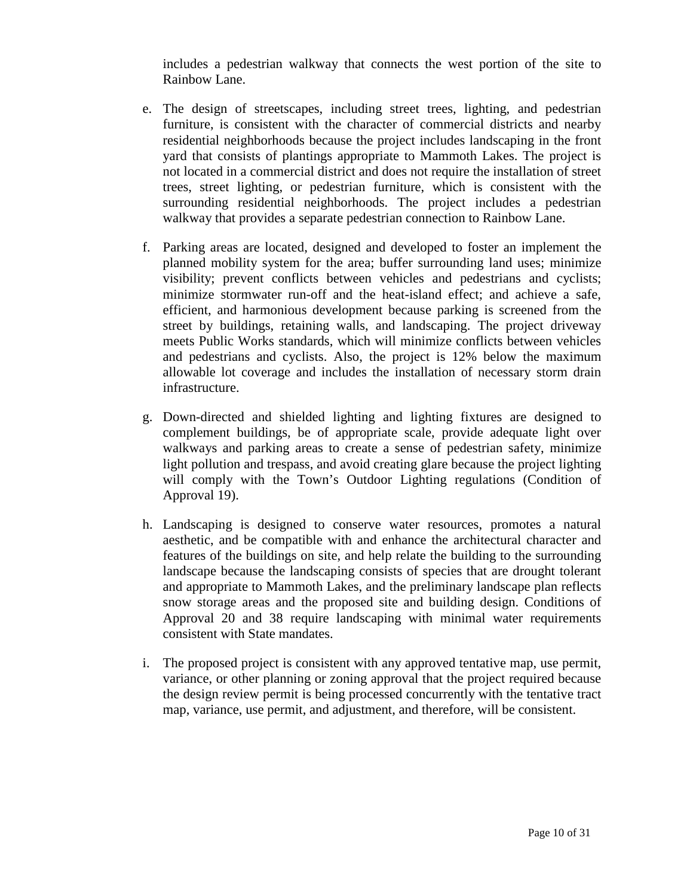includes a pedestrian walkway that connects the west portion of the site to Rainbow Lane.

- e. The design of streetscapes, including street trees, lighting, and pedestrian furniture, is consistent with the character of commercial districts and nearby residential neighborhoods because the project includes landscaping in the front yard that consists of plantings appropriate to Mammoth Lakes. The project is not located in a commercial district and does not require the installation of street trees, street lighting, or pedestrian furniture, which is consistent with the surrounding residential neighborhoods. The project includes a pedestrian walkway that provides a separate pedestrian connection to Rainbow Lane.
- f. Parking areas are located, designed and developed to foster an implement the planned mobility system for the area; buffer surrounding land uses; minimize visibility; prevent conflicts between vehicles and pedestrians and cyclists; minimize stormwater run-off and the heat-island effect; and achieve a safe, efficient, and harmonious development because parking is screened from the street by buildings, retaining walls, and landscaping. The project driveway meets Public Works standards, which will minimize conflicts between vehicles and pedestrians and cyclists. Also, the project is 12% below the maximum allowable lot coverage and includes the installation of necessary storm drain infrastructure.
- g. Down-directed and shielded lighting and lighting fixtures are designed to complement buildings, be of appropriate scale, provide adequate light over walkways and parking areas to create a sense of pedestrian safety, minimize light pollution and trespass, and avoid creating glare because the project lighting will comply with the Town's Outdoor Lighting regulations (Condition of Approval 19).
- h. Landscaping is designed to conserve water resources, promotes a natural aesthetic, and be compatible with and enhance the architectural character and features of the buildings on site, and help relate the building to the surrounding landscape because the landscaping consists of species that are drought tolerant and appropriate to Mammoth Lakes, and the preliminary landscape plan reflects snow storage areas and the proposed site and building design. Conditions of Approval 20 and 38 require landscaping with minimal water requirements consistent with State mandates.
- i. The proposed project is consistent with any approved tentative map, use permit, variance, or other planning or zoning approval that the project required because the design review permit is being processed concurrently with the tentative tract map, variance, use permit, and adjustment, and therefore, will be consistent.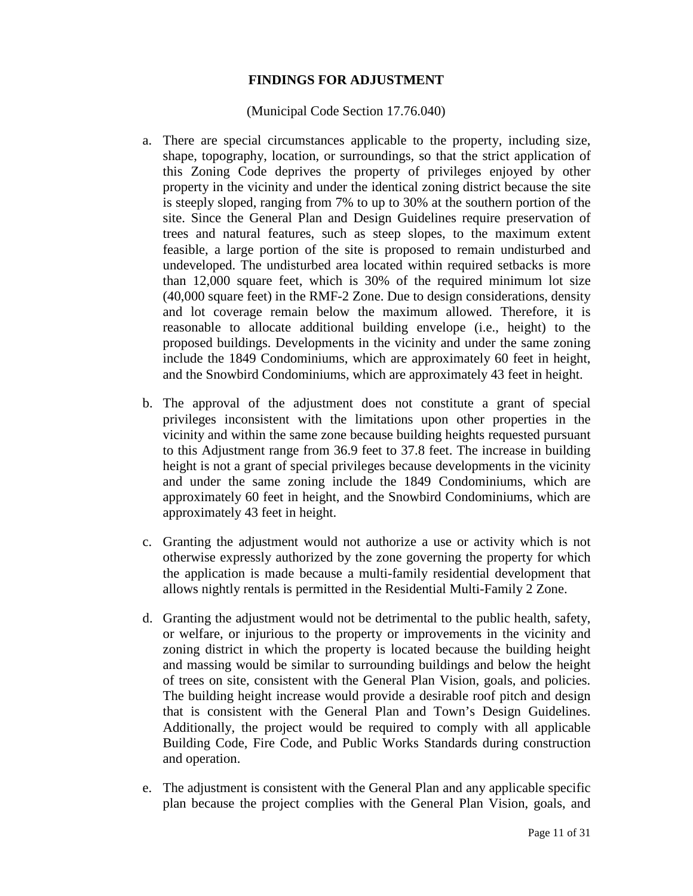### **FINDINGS FOR ADJUSTMENT**

#### (Municipal Code Section 17.76.040)

- a. There are special circumstances applicable to the property, including size, shape, topography, location, or surroundings, so that the strict application of this Zoning Code deprives the property of privileges enjoyed by other property in the vicinity and under the identical zoning district because the site is steeply sloped, ranging from 7% to up to 30% at the southern portion of the site. Since the General Plan and Design Guidelines require preservation of trees and natural features, such as steep slopes, to the maximum extent feasible, a large portion of the site is proposed to remain undisturbed and undeveloped. The undisturbed area located within required setbacks is more than 12,000 square feet, which is 30% of the required minimum lot size (40,000 square feet) in the RMF-2 Zone. Due to design considerations, density and lot coverage remain below the maximum allowed. Therefore, it is reasonable to allocate additional building envelope (i.e., height) to the proposed buildings. Developments in the vicinity and under the same zoning include the 1849 Condominiums, which are approximately 60 feet in height, and the Snowbird Condominiums, which are approximately 43 feet in height.
- b. The approval of the adjustment does not constitute a grant of special privileges inconsistent with the limitations upon other properties in the vicinity and within the same zone because building heights requested pursuant to this Adjustment range from 36.9 feet to 37.8 feet. The increase in building height is not a grant of special privileges because developments in the vicinity and under the same zoning include the 1849 Condominiums, which are approximately 60 feet in height, and the Snowbird Condominiums, which are approximately 43 feet in height.
- c. Granting the adjustment would not authorize a use or activity which is not otherwise expressly authorized by the zone governing the property for which the application is made because a multi-family residential development that allows nightly rentals is permitted in the Residential Multi-Family 2 Zone.
- d. Granting the adjustment would not be detrimental to the public health, safety, or welfare, or injurious to the property or improvements in the vicinity and zoning district in which the property is located because the building height and massing would be similar to surrounding buildings and below the height of trees on site, consistent with the General Plan Vision, goals, and policies. The building height increase would provide a desirable roof pitch and design that is consistent with the General Plan and Town's Design Guidelines. Additionally, the project would be required to comply with all applicable Building Code, Fire Code, and Public Works Standards during construction and operation.
- e. The adjustment is consistent with the General Plan and any applicable specific plan because the project complies with the General Plan Vision, goals, and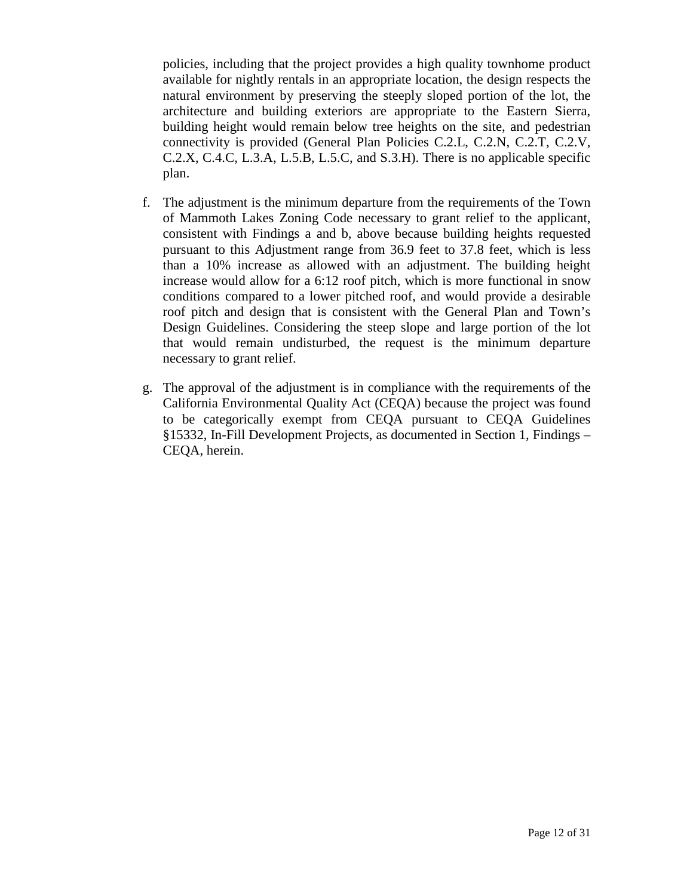policies, including that the project provides a high quality townhome product available for nightly rentals in an appropriate location, the design respects the natural environment by preserving the steeply sloped portion of the lot, the architecture and building exteriors are appropriate to the Eastern Sierra, building height would remain below tree heights on the site, and pedestrian connectivity is provided (General Plan Policies C.2.L, C.2.N, C.2.T, C.2.V, C.2.X, C.4.C, L.3.A, L.5.B, L.5.C, and S.3.H). There is no applicable specific plan.

- f. The adjustment is the minimum departure from the requirements of the Town of Mammoth Lakes Zoning Code necessary to grant relief to the applicant, consistent with Findings a and b, above because building heights requested pursuant to this Adjustment range from 36.9 feet to 37.8 feet, which is less than a 10% increase as allowed with an adjustment. The building height increase would allow for a 6:12 roof pitch, which is more functional in snow conditions compared to a lower pitched roof, and would provide a desirable roof pitch and design that is consistent with the General Plan and Town's Design Guidelines. Considering the steep slope and large portion of the lot that would remain undisturbed, the request is the minimum departure necessary to grant relief.
- g. The approval of the adjustment is in compliance with the requirements of the California Environmental Quality Act (CEQA) because the project was found to be categorically exempt from CEQA pursuant to CEQA Guidelines §15332, In-Fill Development Projects, as documented in Section 1, Findings – CEQA, herein.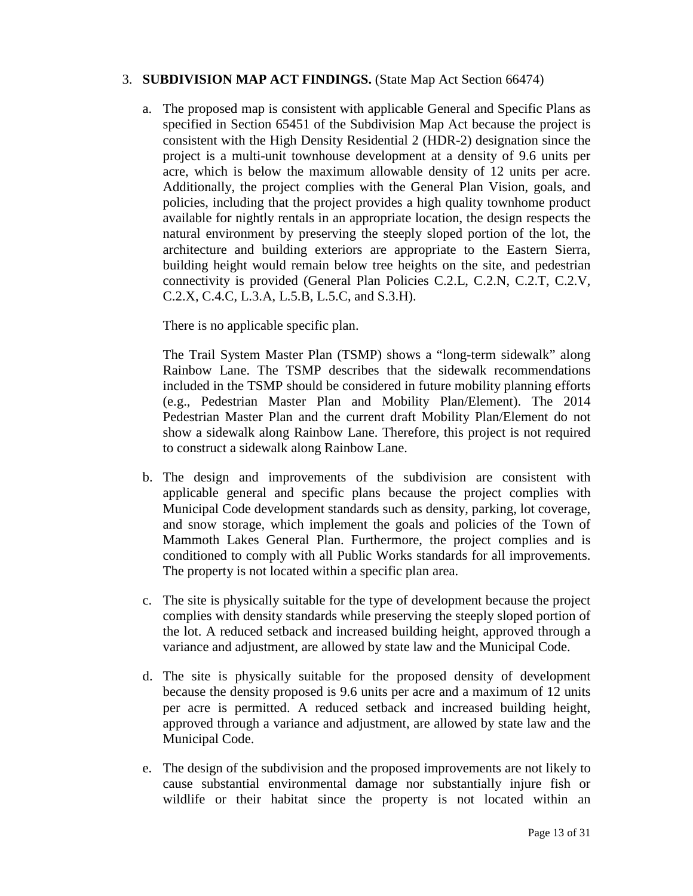### 3. **SUBDIVISION MAP ACT FINDINGS.** (State Map Act Section 66474)

a. The proposed map is consistent with applicable General and Specific Plans as specified in Section 65451 of the Subdivision Map Act because the project is consistent with the High Density Residential 2 (HDR-2) designation since the project is a multi-unit townhouse development at a density of 9.6 units per acre, which is below the maximum allowable density of 12 units per acre. Additionally, the project complies with the General Plan Vision, goals, and policies, including that the project provides a high quality townhome product available for nightly rentals in an appropriate location, the design respects the natural environment by preserving the steeply sloped portion of the lot, the architecture and building exteriors are appropriate to the Eastern Sierra, building height would remain below tree heights on the site, and pedestrian connectivity is provided (General Plan Policies C.2.L, C.2.N, C.2.T, C.2.V, C.2.X, C.4.C, L.3.A, L.5.B, L.5.C, and S.3.H).

There is no applicable specific plan.

The Trail System Master Plan (TSMP) shows a "long-term sidewalk" along Rainbow Lane. The TSMP describes that the sidewalk recommendations included in the TSMP should be considered in future mobility planning efforts (e.g., Pedestrian Master Plan and Mobility Plan/Element). The 2014 Pedestrian Master Plan and the current draft Mobility Plan/Element do not show a sidewalk along Rainbow Lane. Therefore, this project is not required to construct a sidewalk along Rainbow Lane.

- b. The design and improvements of the subdivision are consistent with applicable general and specific plans because the project complies with Municipal Code development standards such as density, parking, lot coverage, and snow storage, which implement the goals and policies of the Town of Mammoth Lakes General Plan. Furthermore, the project complies and is conditioned to comply with all Public Works standards for all improvements. The property is not located within a specific plan area.
- c. The site is physically suitable for the type of development because the project complies with density standards while preserving the steeply sloped portion of the lot. A reduced setback and increased building height, approved through a variance and adjustment, are allowed by state law and the Municipal Code.
- d. The site is physically suitable for the proposed density of development because the density proposed is 9.6 units per acre and a maximum of 12 units per acre is permitted. A reduced setback and increased building height, approved through a variance and adjustment, are allowed by state law and the Municipal Code.
- e. The design of the subdivision and the proposed improvements are not likely to cause substantial environmental damage nor substantially injure fish or wildlife or their habitat since the property is not located within an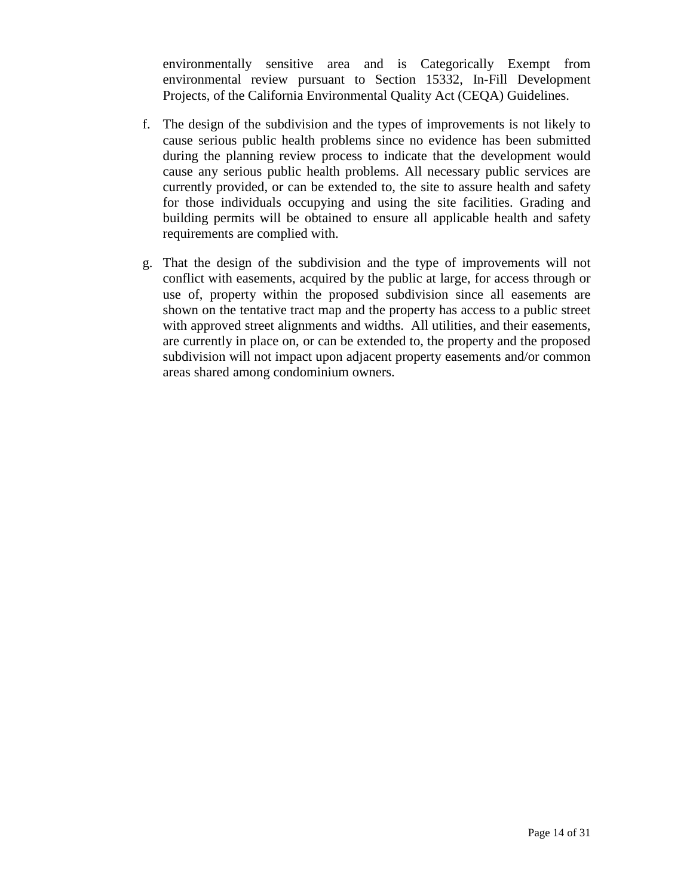environmentally sensitive area and is Categorically Exempt from environmental review pursuant to Section 15332, In-Fill Development Projects, of the California Environmental Quality Act (CEQA) Guidelines.

- f. The design of the subdivision and the types of improvements is not likely to cause serious public health problems since no evidence has been submitted during the planning review process to indicate that the development would cause any serious public health problems. All necessary public services are currently provided, or can be extended to, the site to assure health and safety for those individuals occupying and using the site facilities. Grading and building permits will be obtained to ensure all applicable health and safety requirements are complied with.
- g. That the design of the subdivision and the type of improvements will not conflict with easements, acquired by the public at large, for access through or use of, property within the proposed subdivision since all easements are shown on the tentative tract map and the property has access to a public street with approved street alignments and widths. All utilities, and their easements, are currently in place on, or can be extended to, the property and the proposed subdivision will not impact upon adjacent property easements and/or common areas shared among condominium owners.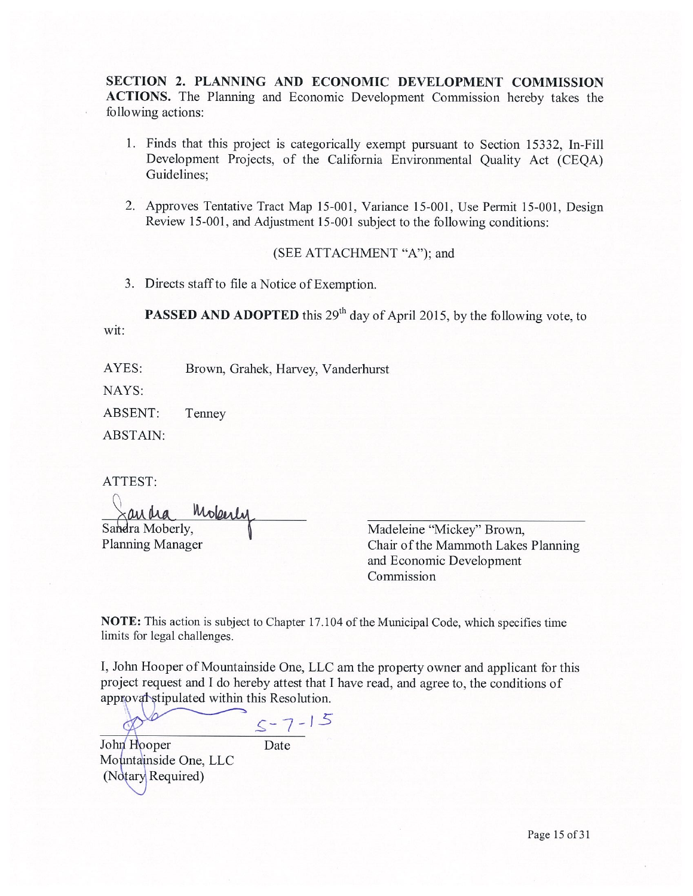SECTION 2. PLANNING AND ECONOMIC DEVELOPMENT COMMISSION ACTIONS. The Planning and Economic Development Commission hereby takes the following actions:

- 1. Finds that this project is categorically exempt pursuant to Section 15332, In-Fill Development Projects, of the California Environmental Quality Act (CEQA) Guidelines;
- 2. Approves Tentative Tract Map 15-001, Variance 15-001, Use Permit 15-001, Design Review 15-001, and Adjustment 15-001 subject to the following conditions:

#### (SEE ATTACHMENT "A"); and

3. Directs staff to file a Notice of Exemption.

**PASSED AND ADOPTED** this 29<sup>th</sup> day of April 2015, by the following vote, to wit:

AYES: Brown, Grahek, Harvey, Vanderhurst

NAYS:

Tenney ABSENT:

**ABSTAIN:** 

ATTEST:

Mokerly Sandra Moberly, **Planning Manager** 

Madeleine "Mickey" Brown, Chair of the Mammoth Lakes Planning and Economic Development Commission

NOTE: This action is subject to Chapter 17.104 of the Municipal Code, which specifies time limits for legal challenges.

I, John Hooper of Mountainside One, LLC am the property owner and applicant for this project request and I do hereby attest that I have read, and agree to, the conditions of approval stipulated within this Resolution.

 $5 - 7 - 15$ John Hooper Date Mountainside One, LLC (Notary Required)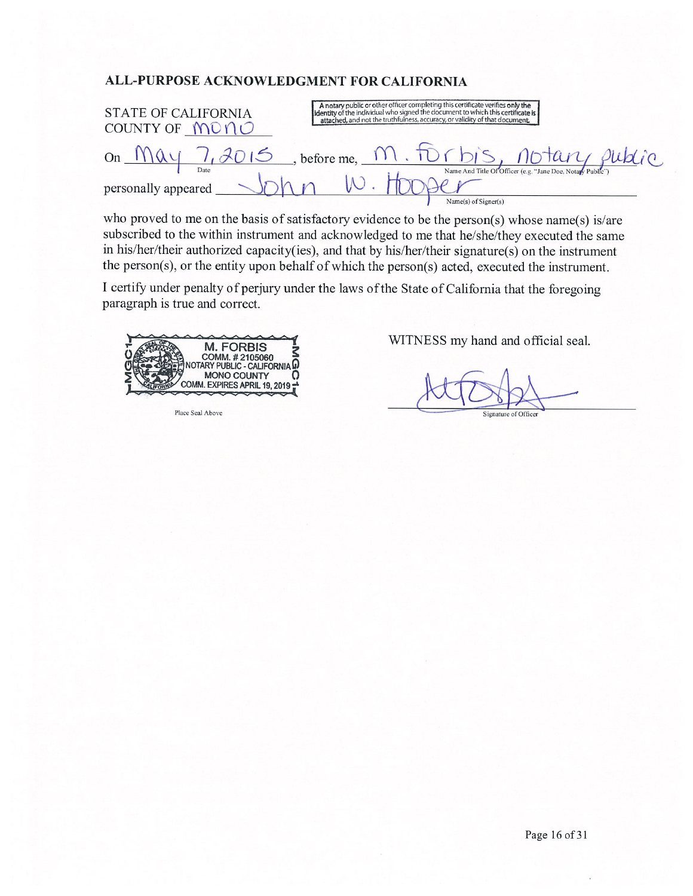#### ALL-PURPOSE ACKNOWLEDGMENT FOR CALIFORNIA

| <b>STATE OF CALIFORNIA</b> | A notary public or other officer completing this certificate verifies only the identity of the individual who signed the document to which this certificate is |
|----------------------------|----------------------------------------------------------------------------------------------------------------------------------------------------------------|
| COUNTY OF MONO             | attached, and not the truthfulness, accuracy, or validity of that document.                                                                                    |
| On                         | 2015, before me, M. FOrbis, notary public                                                                                                                      |
| Date                       | Name And Title Of Officer (e.g. "Jane Doe, Notary Public")                                                                                                     |
| personally appeared        | Name(s) of Signer(s)                                                                                                                                           |

who proved to me on the basis of satisfactory evidence to be the person(s) whose name(s) is/are subscribed to the within instrument and acknowledged to me that he/she/they executed the same in his/her/their authorized capacity(ies), and that by his/her/their signature(s) on the instrument the person(s), or the entity upon behalf of which the person(s) acted, executed the instrument.

I certify under penalty of perjury under the laws of the State of California that the foregoing paragraph is true and correct.



Place Seal Above

WITNESS my hand and official seal.

Signature of Officer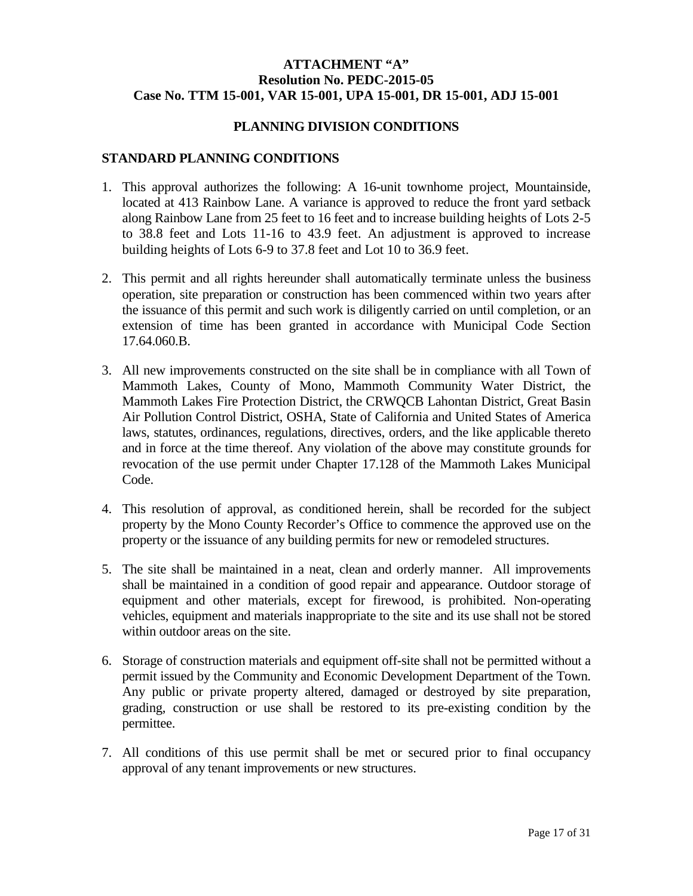### **ATTACHMENT "A" Resolution No. PEDC-2015-05 Case No. TTM 15-001, VAR 15-001, UPA 15-001, DR 15-001, ADJ 15-001**

#### **PLANNING DIVISION CONDITIONS**

### **STANDARD PLANNING CONDITIONS**

- 1. This approval authorizes the following: A 16-unit townhome project, Mountainside, located at 413 Rainbow Lane. A variance is approved to reduce the front yard setback along Rainbow Lane from 25 feet to 16 feet and to increase building heights of Lots 2-5 to 38.8 feet and Lots 11-16 to 43.9 feet. An adjustment is approved to increase building heights of Lots 6-9 to 37.8 feet and Lot 10 to 36.9 feet.
- 2. This permit and all rights hereunder shall automatically terminate unless the business operation, site preparation or construction has been commenced within two years after the issuance of this permit and such work is diligently carried on until completion, or an extension of time has been granted in accordance with Municipal Code Section 17.64.060.B.
- 3. All new improvements constructed on the site shall be in compliance with all Town of Mammoth Lakes, County of Mono, Mammoth Community Water District, the Mammoth Lakes Fire Protection District, the CRWQCB Lahontan District, Great Basin Air Pollution Control District, OSHA, State of California and United States of America laws, statutes, ordinances, regulations, directives, orders, and the like applicable thereto and in force at the time thereof. Any violation of the above may constitute grounds for revocation of the use permit under Chapter 17.128 of the Mammoth Lakes Municipal Code.
- 4. This resolution of approval, as conditioned herein, shall be recorded for the subject property by the Mono County Recorder's Office to commence the approved use on the property or the issuance of any building permits for new or remodeled structures.
- 5. The site shall be maintained in a neat, clean and orderly manner. All improvements shall be maintained in a condition of good repair and appearance. Outdoor storage of equipment and other materials, except for firewood, is prohibited. Non-operating vehicles, equipment and materials inappropriate to the site and its use shall not be stored within outdoor areas on the site.
- 6. Storage of construction materials and equipment off-site shall not be permitted without a permit issued by the Community and Economic Development Department of the Town. Any public or private property altered, damaged or destroyed by site preparation, grading, construction or use shall be restored to its pre-existing condition by the permittee.
- 7. All conditions of this use permit shall be met or secured prior to final occupancy approval of any tenant improvements or new structures.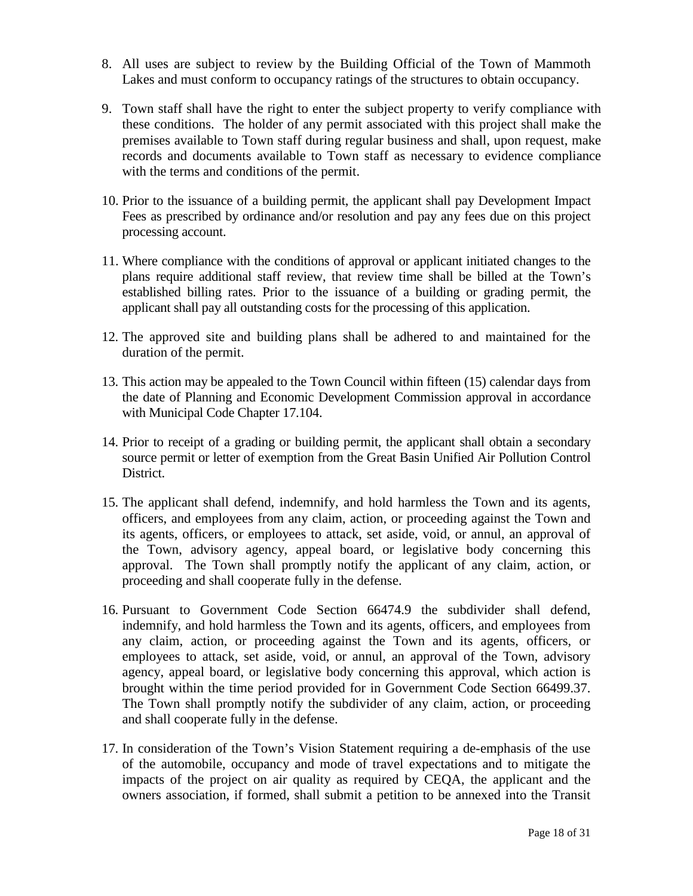- 8. All uses are subject to review by the Building Official of the Town of Mammoth Lakes and must conform to occupancy ratings of the structures to obtain occupancy.
- 9. Town staff shall have the right to enter the subject property to verify compliance with these conditions. The holder of any permit associated with this project shall make the premises available to Town staff during regular business and shall, upon request, make records and documents available to Town staff as necessary to evidence compliance with the terms and conditions of the permit.
- 10. Prior to the issuance of a building permit, the applicant shall pay Development Impact Fees as prescribed by ordinance and/or resolution and pay any fees due on this project processing account.
- 11. Where compliance with the conditions of approval or applicant initiated changes to the plans require additional staff review, that review time shall be billed at the Town's established billing rates. Prior to the issuance of a building or grading permit, the applicant shall pay all outstanding costs for the processing of this application.
- 12. The approved site and building plans shall be adhered to and maintained for the duration of the permit.
- 13. This action may be appealed to the Town Council within fifteen (15) calendar days from the date of Planning and Economic Development Commission approval in accordance with Municipal Code Chapter 17.104.
- 14. Prior to receipt of a grading or building permit, the applicant shall obtain a secondary source permit or letter of exemption from the Great Basin Unified Air Pollution Control District.
- 15. The applicant shall defend, indemnify, and hold harmless the Town and its agents, officers, and employees from any claim, action, or proceeding against the Town and its agents, officers, or employees to attack, set aside, void, or annul, an approval of the Town, advisory agency, appeal board, or legislative body concerning this approval. The Town shall promptly notify the applicant of any claim, action, or proceeding and shall cooperate fully in the defense.
- 16. Pursuant to Government Code Section 66474.9 the subdivider shall defend, indemnify, and hold harmless the Town and its agents, officers, and employees from any claim, action, or proceeding against the Town and its agents, officers, or employees to attack, set aside, void, or annul, an approval of the Town, advisory agency, appeal board, or legislative body concerning this approval, which action is brought within the time period provided for in Government Code Section 66499.37. The Town shall promptly notify the subdivider of any claim, action, or proceeding and shall cooperate fully in the defense.
- 17. In consideration of the Town's Vision Statement requiring a de-emphasis of the use of the automobile, occupancy and mode of travel expectations and to mitigate the impacts of the project on air quality as required by CEQA, the applicant and the owners association, if formed, shall submit a petition to be annexed into the Transit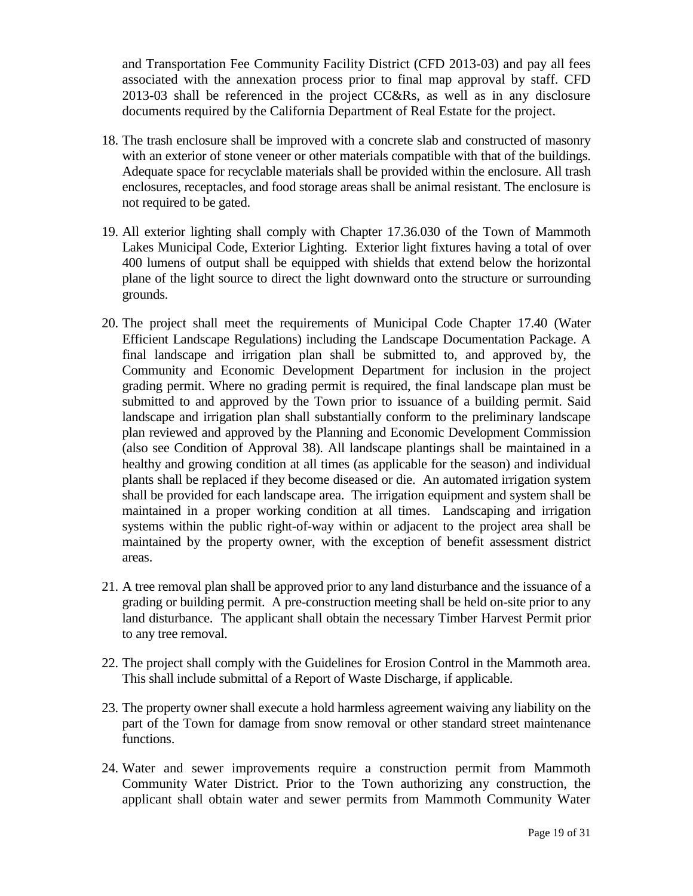and Transportation Fee Community Facility District (CFD 2013-03) and pay all fees associated with the annexation process prior to final map approval by staff. CFD 2013-03 shall be referenced in the project CC&Rs, as well as in any disclosure documents required by the California Department of Real Estate for the project.

- 18. The trash enclosure shall be improved with a concrete slab and constructed of masonry with an exterior of stone veneer or other materials compatible with that of the buildings. Adequate space for recyclable materials shall be provided within the enclosure. All trash enclosures, receptacles, and food storage areas shall be animal resistant. The enclosure is not required to be gated.
- 19. All exterior lighting shall comply with Chapter 17.36.030 of the Town of Mammoth Lakes Municipal Code, Exterior Lighting. Exterior light fixtures having a total of over 400 lumens of output shall be equipped with shields that extend below the horizontal plane of the light source to direct the light downward onto the structure or surrounding grounds.
- 20. The project shall meet the requirements of Municipal Code Chapter 17.40 (Water Efficient Landscape Regulations) including the Landscape Documentation Package. A final landscape and irrigation plan shall be submitted to, and approved by, the Community and Economic Development Department for inclusion in the project grading permit. Where no grading permit is required, the final landscape plan must be submitted to and approved by the Town prior to issuance of a building permit. Said landscape and irrigation plan shall substantially conform to the preliminary landscape plan reviewed and approved by the Planning and Economic Development Commission (also see Condition of Approval 38). All landscape plantings shall be maintained in a healthy and growing condition at all times (as applicable for the season) and individual plants shall be replaced if they become diseased or die. An automated irrigation system shall be provided for each landscape area. The irrigation equipment and system shall be maintained in a proper working condition at all times. Landscaping and irrigation systems within the public right-of-way within or adjacent to the project area shall be maintained by the property owner, with the exception of benefit assessment district areas.
- 21. A tree removal plan shall be approved prior to any land disturbance and the issuance of a grading or building permit. A pre-construction meeting shall be held on-site prior to any land disturbance. The applicant shall obtain the necessary Timber Harvest Permit prior to any tree removal.
- 22. The project shall comply with the Guidelines for Erosion Control in the Mammoth area. This shall include submittal of a Report of Waste Discharge, if applicable.
- 23. The property owner shall execute a hold harmless agreement waiving any liability on the part of the Town for damage from snow removal or other standard street maintenance functions.
- 24. Water and sewer improvements require a construction permit from Mammoth Community Water District. Prior to the Town authorizing any construction, the applicant shall obtain water and sewer permits from Mammoth Community Water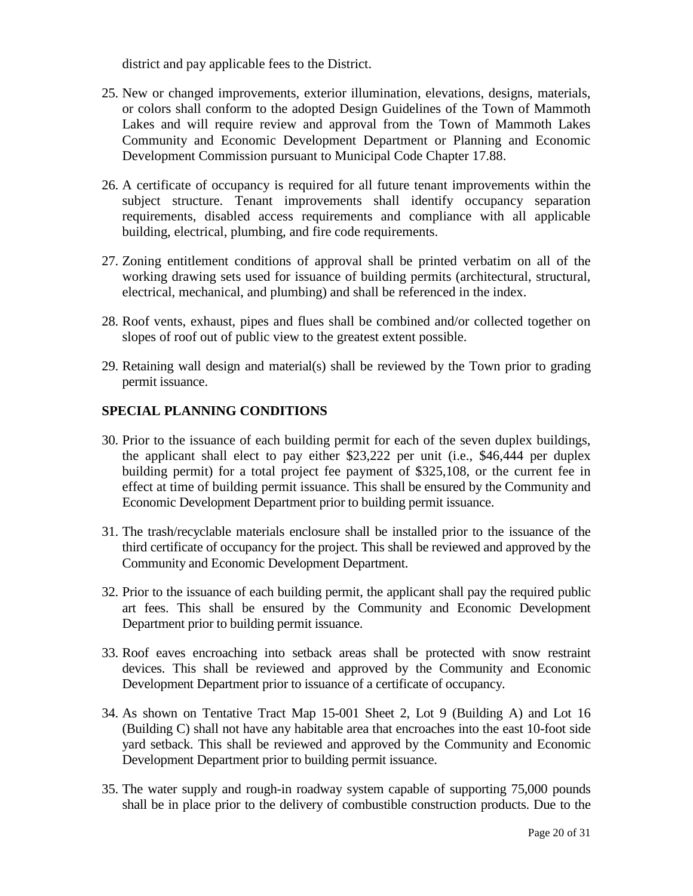district and pay applicable fees to the District.

- 25. New or changed improvements, exterior illumination, elevations, designs, materials, or colors shall conform to the adopted Design Guidelines of the Town of Mammoth Lakes and will require review and approval from the Town of Mammoth Lakes Community and Economic Development Department or Planning and Economic Development Commission pursuant to Municipal Code Chapter 17.88.
- 26. A certificate of occupancy is required for all future tenant improvements within the subject structure. Tenant improvements shall identify occupancy separation requirements, disabled access requirements and compliance with all applicable building, electrical, plumbing, and fire code requirements.
- 27. Zoning entitlement conditions of approval shall be printed verbatim on all of the working drawing sets used for issuance of building permits (architectural, structural, electrical, mechanical, and plumbing) and shall be referenced in the index.
- 28. Roof vents, exhaust, pipes and flues shall be combined and/or collected together on slopes of roof out of public view to the greatest extent possible.
- 29. Retaining wall design and material(s) shall be reviewed by the Town prior to grading permit issuance.

### **SPECIAL PLANNING CONDITIONS**

- 30. Prior to the issuance of each building permit for each of the seven duplex buildings, the applicant shall elect to pay either \$23,222 per unit (i.e., \$46,444 per duplex building permit) for a total project fee payment of \$325,108, or the current fee in effect at time of building permit issuance. This shall be ensured by the Community and Economic Development Department prior to building permit issuance.
- 31. The trash/recyclable materials enclosure shall be installed prior to the issuance of the third certificate of occupancy for the project. This shall be reviewed and approved by the Community and Economic Development Department.
- 32. Prior to the issuance of each building permit, the applicant shall pay the required public art fees. This shall be ensured by the Community and Economic Development Department prior to building permit issuance.
- 33. Roof eaves encroaching into setback areas shall be protected with snow restraint devices. This shall be reviewed and approved by the Community and Economic Development Department prior to issuance of a certificate of occupancy.
- 34. As shown on Tentative Tract Map 15-001 Sheet 2, Lot 9 (Building A) and Lot 16 (Building C) shall not have any habitable area that encroaches into the east 10-foot side yard setback. This shall be reviewed and approved by the Community and Economic Development Department prior to building permit issuance.
- 35. The water supply and rough-in roadway system capable of supporting 75,000 pounds shall be in place prior to the delivery of combustible construction products. Due to the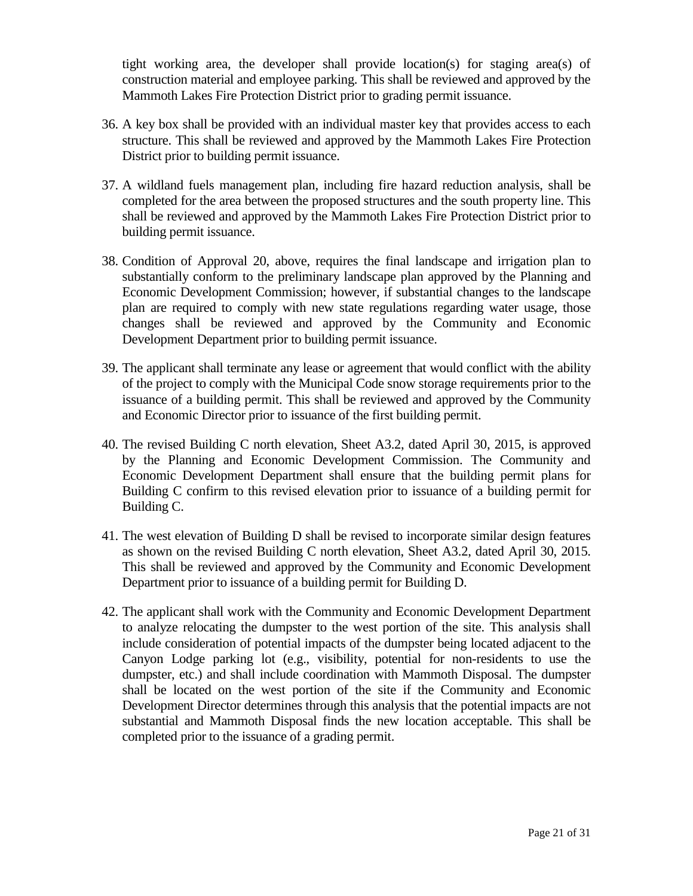tight working area, the developer shall provide location(s) for staging area(s) of construction material and employee parking. This shall be reviewed and approved by the Mammoth Lakes Fire Protection District prior to grading permit issuance.

- 36. A key box shall be provided with an individual master key that provides access to each structure. This shall be reviewed and approved by the Mammoth Lakes Fire Protection District prior to building permit issuance.
- 37. A wildland fuels management plan, including fire hazard reduction analysis, shall be completed for the area between the proposed structures and the south property line. This shall be reviewed and approved by the Mammoth Lakes Fire Protection District prior to building permit issuance.
- 38. Condition of Approval 20, above, requires the final landscape and irrigation plan to substantially conform to the preliminary landscape plan approved by the Planning and Economic Development Commission; however, if substantial changes to the landscape plan are required to comply with new state regulations regarding water usage, those changes shall be reviewed and approved by the Community and Economic Development Department prior to building permit issuance.
- 39. The applicant shall terminate any lease or agreement that would conflict with the ability of the project to comply with the Municipal Code snow storage requirements prior to the issuance of a building permit. This shall be reviewed and approved by the Community and Economic Director prior to issuance of the first building permit.
- 40. The revised Building C north elevation, Sheet A3.2, dated April 30, 2015, is approved by the Planning and Economic Development Commission. The Community and Economic Development Department shall ensure that the building permit plans for Building C confirm to this revised elevation prior to issuance of a building permit for Building C.
- 41. The west elevation of Building D shall be revised to incorporate similar design features as shown on the revised Building C north elevation, Sheet A3.2, dated April 30, 2015. This shall be reviewed and approved by the Community and Economic Development Department prior to issuance of a building permit for Building D.
- 42. The applicant shall work with the Community and Economic Development Department to analyze relocating the dumpster to the west portion of the site. This analysis shall include consideration of potential impacts of the dumpster being located adjacent to the Canyon Lodge parking lot (e.g., visibility, potential for non-residents to use the dumpster, etc.) and shall include coordination with Mammoth Disposal. The dumpster shall be located on the west portion of the site if the Community and Economic Development Director determines through this analysis that the potential impacts are not substantial and Mammoth Disposal finds the new location acceptable. This shall be completed prior to the issuance of a grading permit.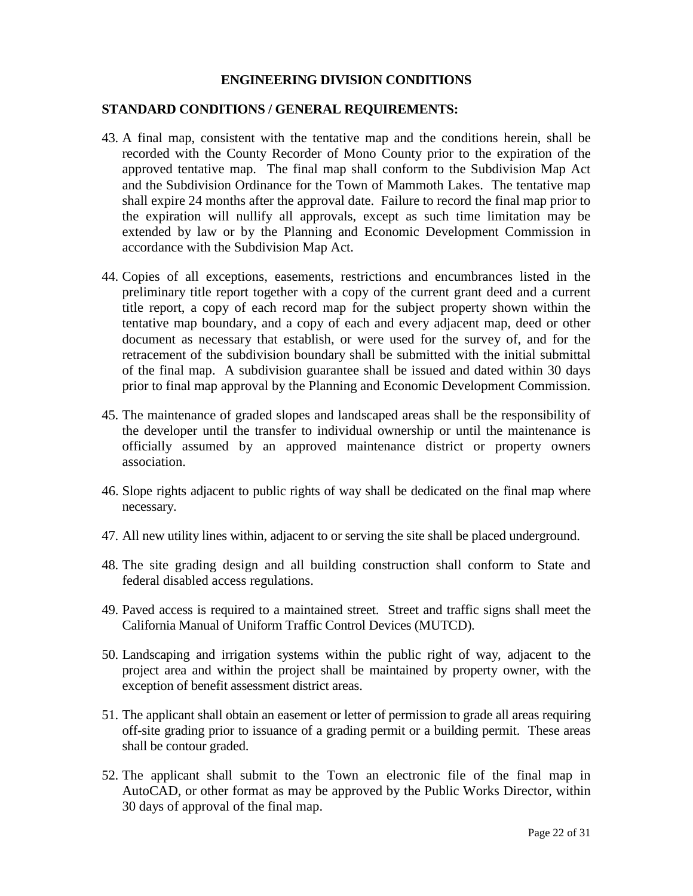### **ENGINEERING DIVISION CONDITIONS**

#### **STANDARD CONDITIONS / GENERAL REQUIREMENTS:**

- 43. A final map, consistent with the tentative map and the conditions herein, shall be recorded with the County Recorder of Mono County prior to the expiration of the approved tentative map. The final map shall conform to the Subdivision Map Act and the Subdivision Ordinance for the Town of Mammoth Lakes. The tentative map shall expire 24 months after the approval date. Failure to record the final map prior to the expiration will nullify all approvals, except as such time limitation may be extended by law or by the Planning and Economic Development Commission in accordance with the Subdivision Map Act.
- 44. Copies of all exceptions, easements, restrictions and encumbrances listed in the preliminary title report together with a copy of the current grant deed and a current title report, a copy of each record map for the subject property shown within the tentative map boundary, and a copy of each and every adjacent map, deed or other document as necessary that establish, or were used for the survey of, and for the retracement of the subdivision boundary shall be submitted with the initial submittal of the final map. A subdivision guarantee shall be issued and dated within 30 days prior to final map approval by the Planning and Economic Development Commission.
- 45. The maintenance of graded slopes and landscaped areas shall be the responsibility of the developer until the transfer to individual ownership or until the maintenance is officially assumed by an approved maintenance district or property owners association.
- 46. Slope rights adjacent to public rights of way shall be dedicated on the final map where necessary.
- 47. All new utility lines within, adjacent to or serving the site shall be placed underground.
- 48. The site grading design and all building construction shall conform to State and federal disabled access regulations.
- 49. Paved access is required to a maintained street. Street and traffic signs shall meet the California Manual of Uniform Traffic Control Devices (MUTCD).
- 50. Landscaping and irrigation systems within the public right of way, adjacent to the project area and within the project shall be maintained by property owner, with the exception of benefit assessment district areas.
- 51. The applicant shall obtain an easement or letter of permission to grade all areas requiring off-site grading prior to issuance of a grading permit or a building permit. These areas shall be contour graded.
- 52. The applicant shall submit to the Town an electronic file of the final map in AutoCAD, or other format as may be approved by the Public Works Director, within 30 days of approval of the final map.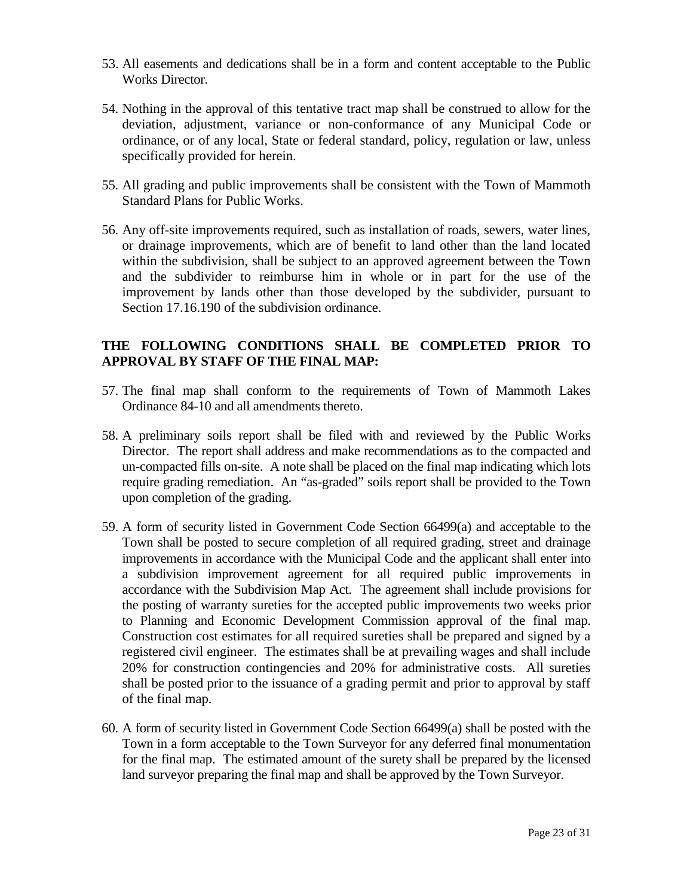- 53. All easements and dedications shall be in a form and content acceptable to the Public Works Director.
- 54. Nothing in the approval of this tentative tract map shall be construed to allow for the deviation, adjustment, variance or non-conformance of any Municipal Code or ordinance, or of any local, State or federal standard, policy, regulation or law, unless specifically provided for herein.
- 55. All grading and public improvements shall be consistent with the Town of Mammoth Standard Plans for Public Works.
- 56. Any off-site improvements required, such as installation of roads, sewers, water lines, or drainage improvements, which are of benefit to land other than the land located within the subdivision, shall be subject to an approved agreement between the Town and the subdivider to reimburse him in whole or in part for the use of the improvement by lands other than those developed by the subdivider, pursuant to Section 17.16.190 of the subdivision ordinance.

# **THE FOLLOWING CONDITIONS SHALL BE COMPLETED PRIOR TO APPROVAL BY STAFF OF THE FINAL MAP:**

- 57. The final map shall conform to the requirements of Town of Mammoth Lakes Ordinance 84-10 and all amendments thereto.
- 58. A preliminary soils report shall be filed with and reviewed by the Public Works Director. The report shall address and make recommendations as to the compacted and un-compacted fills on-site. A note shall be placed on the final map indicating which lots require grading remediation. An "as-graded" soils report shall be provided to the Town upon completion of the grading.
- 59. A form of security listed in Government Code Section 66499(a) and acceptable to the Town shall be posted to secure completion of all required grading, street and drainage improvements in accordance with the Municipal Code and the applicant shall enter into a subdivision improvement agreement for all required public improvements in accordance with the Subdivision Map Act. The agreement shall include provisions for the posting of warranty sureties for the accepted public improvements two weeks prior to Planning and Economic Development Commission approval of the final map. Construction cost estimates for all required sureties shall be prepared and signed by a registered civil engineer. The estimates shall be at prevailing wages and shall include 20% for construction contingencies and 20% for administrative costs. All sureties shall be posted prior to the issuance of a grading permit and prior to approval by staff of the final map.
- 60. A form of security listed in Government Code Section 66499(a) shall be posted with the Town in a form acceptable to the Town Surveyor for any deferred final monumentation for the final map. The estimated amount of the surety shall be prepared by the licensed land surveyor preparing the final map and shall be approved by the Town Surveyor.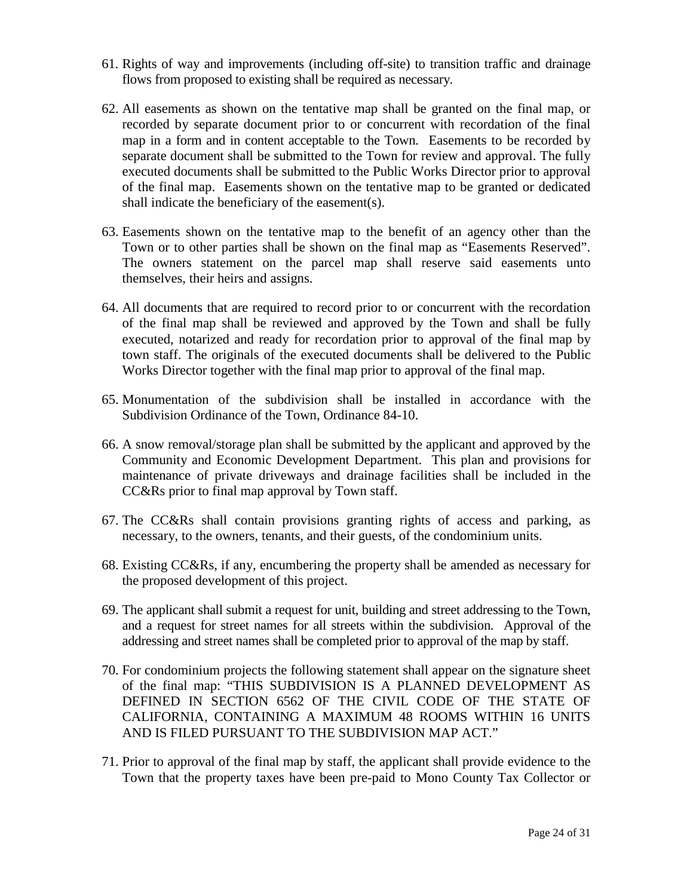- 61. Rights of way and improvements (including off-site) to transition traffic and drainage flows from proposed to existing shall be required as necessary.
- 62. All easements as shown on the tentative map shall be granted on the final map, or recorded by separate document prior to or concurrent with recordation of the final map in a form and in content acceptable to the Town. Easements to be recorded by separate document shall be submitted to the Town for review and approval. The fully executed documents shall be submitted to the Public Works Director prior to approval of the final map. Easements shown on the tentative map to be granted or dedicated shall indicate the beneficiary of the easement(s).
- 63. Easements shown on the tentative map to the benefit of an agency other than the Town or to other parties shall be shown on the final map as "Easements Reserved". The owners statement on the parcel map shall reserve said easements unto themselves, their heirs and assigns.
- 64. All documents that are required to record prior to or concurrent with the recordation of the final map shall be reviewed and approved by the Town and shall be fully executed, notarized and ready for recordation prior to approval of the final map by town staff. The originals of the executed documents shall be delivered to the Public Works Director together with the final map prior to approval of the final map.
- 65. Monumentation of the subdivision shall be installed in accordance with the Subdivision Ordinance of the Town, Ordinance 84-10.
- 66. A snow removal/storage plan shall be submitted by the applicant and approved by the Community and Economic Development Department. This plan and provisions for maintenance of private driveways and drainage facilities shall be included in the CC&Rs prior to final map approval by Town staff.
- 67. The CC&Rs shall contain provisions granting rights of access and parking, as necessary, to the owners, tenants, and their guests, of the condominium units.
- 68. Existing CC&Rs, if any, encumbering the property shall be amended as necessary for the proposed development of this project.
- 69. The applicant shall submit a request for unit, building and street addressing to the Town, and a request for street names for all streets within the subdivision. Approval of the addressing and street names shall be completed prior to approval of the map by staff.
- 70. For condominium projects the following statement shall appear on the signature sheet of the final map: "THIS SUBDIVISION IS A PLANNED DEVELOPMENT AS DEFINED IN SECTION 6562 OF THE CIVIL CODE OF THE STATE OF CALIFORNIA, CONTAINING A MAXIMUM 48 ROOMS WITHIN 16 UNITS AND IS FILED PURSUANT TO THE SUBDIVISION MAP ACT."
- 71. Prior to approval of the final map by staff, the applicant shall provide evidence to the Town that the property taxes have been pre-paid to Mono County Tax Collector or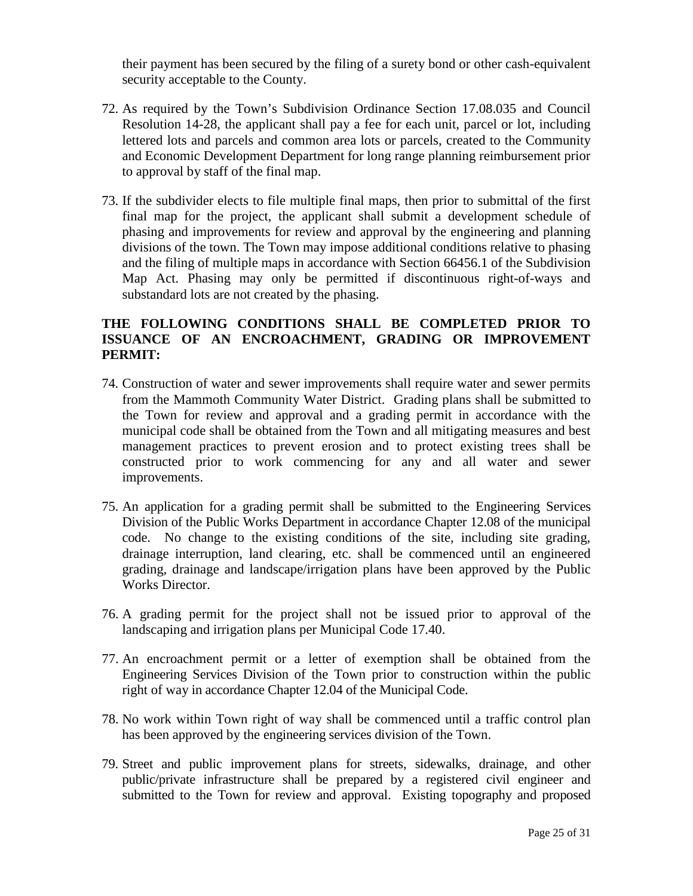their payment has been secured by the filing of a surety bond or other cash-equivalent security acceptable to the County.

- 72. As required by the Town's Subdivision Ordinance Section 17.08.035 and Council Resolution 14-28, the applicant shall pay a fee for each unit, parcel or lot, including lettered lots and parcels and common area lots or parcels, created to the Community and Economic Development Department for long range planning reimbursement prior to approval by staff of the final map.
- 73. If the subdivider elects to file multiple final maps, then prior to submittal of the first final map for the project, the applicant shall submit a development schedule of phasing and improvements for review and approval by the engineering and planning divisions of the town. The Town may impose additional conditions relative to phasing and the filing of multiple maps in accordance with Section 66456.1 of the Subdivision Map Act. Phasing may only be permitted if discontinuous right-of-ways and substandard lots are not created by the phasing.

### **THE FOLLOWING CONDITIONS SHALL BE COMPLETED PRIOR TO ISSUANCE OF AN ENCROACHMENT, GRADING OR IMPROVEMENT PERMIT:**

- 74. Construction of water and sewer improvements shall require water and sewer permits from the Mammoth Community Water District. Grading plans shall be submitted to the Town for review and approval and a grading permit in accordance with the municipal code shall be obtained from the Town and all mitigating measures and best management practices to prevent erosion and to protect existing trees shall be constructed prior to work commencing for any and all water and sewer improvements.
- 75. An application for a grading permit shall be submitted to the Engineering Services Division of the Public Works Department in accordance Chapter 12.08 of the municipal code. No change to the existing conditions of the site, including site grading, drainage interruption, land clearing, etc. shall be commenced until an engineered grading, drainage and landscape/irrigation plans have been approved by the Public Works Director.
- 76. A grading permit for the project shall not be issued prior to approval of the landscaping and irrigation plans per Municipal Code 17.40.
- 77. An encroachment permit or a letter of exemption shall be obtained from the Engineering Services Division of the Town prior to construction within the public right of way in accordance Chapter 12.04 of the Municipal Code.
- 78. No work within Town right of way shall be commenced until a traffic control plan has been approved by the engineering services division of the Town.
- 79. Street and public improvement plans for streets, sidewalks, drainage, and other public/private infrastructure shall be prepared by a registered civil engineer and submitted to the Town for review and approval. Existing topography and proposed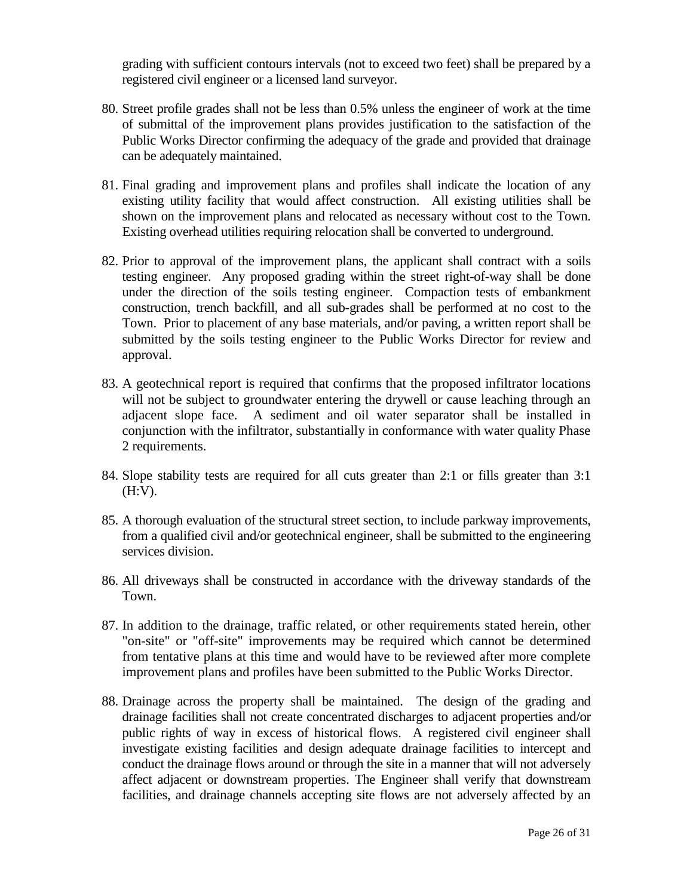grading with sufficient contours intervals (not to exceed two feet) shall be prepared by a registered civil engineer or a licensed land surveyor.

- 80. Street profile grades shall not be less than 0.5% unless the engineer of work at the time of submittal of the improvement plans provides justification to the satisfaction of the Public Works Director confirming the adequacy of the grade and provided that drainage can be adequately maintained.
- 81. Final grading and improvement plans and profiles shall indicate the location of any existing utility facility that would affect construction. All existing utilities shall be shown on the improvement plans and relocated as necessary without cost to the Town. Existing overhead utilities requiring relocation shall be converted to underground.
- 82. Prior to approval of the improvement plans, the applicant shall contract with a soils testing engineer. Any proposed grading within the street right-of-way shall be done under the direction of the soils testing engineer. Compaction tests of embankment construction, trench backfill, and all sub-grades shall be performed at no cost to the Town. Prior to placement of any base materials, and/or paving, a written report shall be submitted by the soils testing engineer to the Public Works Director for review and approval.
- 83. A geotechnical report is required that confirms that the proposed infiltrator locations will not be subject to groundwater entering the drywell or cause leaching through an adjacent slope face. A sediment and oil water separator shall be installed in conjunction with the infiltrator, substantially in conformance with water quality Phase 2 requirements.
- 84. Slope stability tests are required for all cuts greater than 2:1 or fills greater than 3:1 (H:V).
- 85. A thorough evaluation of the structural street section, to include parkway improvements, from a qualified civil and/or geotechnical engineer, shall be submitted to the engineering services division.
- 86. All driveways shall be constructed in accordance with the driveway standards of the Town.
- 87. In addition to the drainage, traffic related, or other requirements stated herein, other "on-site" or "off-site" improvements may be required which cannot be determined from tentative plans at this time and would have to be reviewed after more complete improvement plans and profiles have been submitted to the Public Works Director.
- 88. Drainage across the property shall be maintained. The design of the grading and drainage facilities shall not create concentrated discharges to adjacent properties and/or public rights of way in excess of historical flows. A registered civil engineer shall investigate existing facilities and design adequate drainage facilities to intercept and conduct the drainage flows around or through the site in a manner that will not adversely affect adjacent or downstream properties. The Engineer shall verify that downstream facilities, and drainage channels accepting site flows are not adversely affected by an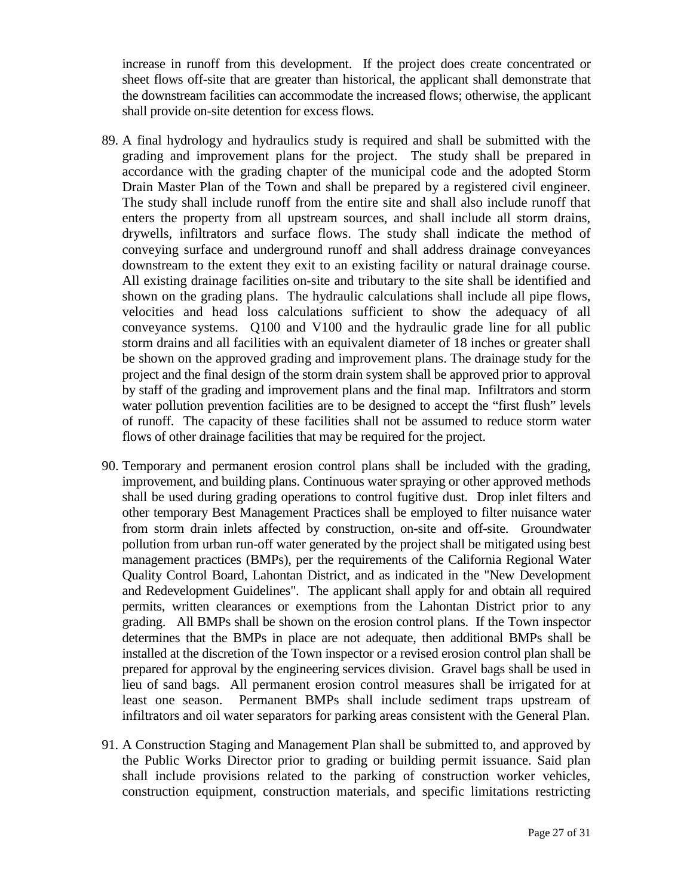increase in runoff from this development. If the project does create concentrated or sheet flows off-site that are greater than historical, the applicant shall demonstrate that the downstream facilities can accommodate the increased flows; otherwise, the applicant shall provide on-site detention for excess flows.

- 89. A final hydrology and hydraulics study is required and shall be submitted with the grading and improvement plans for the project. The study shall be prepared in accordance with the grading chapter of the municipal code and the adopted Storm Drain Master Plan of the Town and shall be prepared by a registered civil engineer. The study shall include runoff from the entire site and shall also include runoff that enters the property from all upstream sources, and shall include all storm drains, drywells, infiltrators and surface flows. The study shall indicate the method of conveying surface and underground runoff and shall address drainage conveyances downstream to the extent they exit to an existing facility or natural drainage course. All existing drainage facilities on-site and tributary to the site shall be identified and shown on the grading plans. The hydraulic calculations shall include all pipe flows, velocities and head loss calculations sufficient to show the adequacy of all conveyance systems. Q100 and V100 and the hydraulic grade line for all public storm drains and all facilities with an equivalent diameter of 18 inches or greater shall be shown on the approved grading and improvement plans. The drainage study for the project and the final design of the storm drain system shall be approved prior to approval by staff of the grading and improvement plans and the final map. Infiltrators and storm water pollution prevention facilities are to be designed to accept the "first flush" levels of runoff. The capacity of these facilities shall not be assumed to reduce storm water flows of other drainage facilities that may be required for the project.
- 90. Temporary and permanent erosion control plans shall be included with the grading, improvement, and building plans. Continuous water spraying or other approved methods shall be used during grading operations to control fugitive dust. Drop inlet filters and other temporary Best Management Practices shall be employed to filter nuisance water from storm drain inlets affected by construction, on-site and off-site. Groundwater pollution from urban run-off water generated by the project shall be mitigated using best management practices (BMPs), per the requirements of the California Regional Water Quality Control Board, Lahontan District, and as indicated in the "New Development and Redevelopment Guidelines". The applicant shall apply for and obtain all required permits, written clearances or exemptions from the Lahontan District prior to any grading. All BMPs shall be shown on the erosion control plans. If the Town inspector determines that the BMPs in place are not adequate, then additional BMPs shall be installed at the discretion of the Town inspector or a revised erosion control plan shall be prepared for approval by the engineering services division. Gravel bags shall be used in lieu of sand bags. All permanent erosion control measures shall be irrigated for at least one season. Permanent BMPs shall include sediment traps upstream of infiltrators and oil water separators for parking areas consistent with the General Plan.
- 91. A Construction Staging and Management Plan shall be submitted to, and approved by the Public Works Director prior to grading or building permit issuance. Said plan shall include provisions related to the parking of construction worker vehicles, construction equipment, construction materials, and specific limitations restricting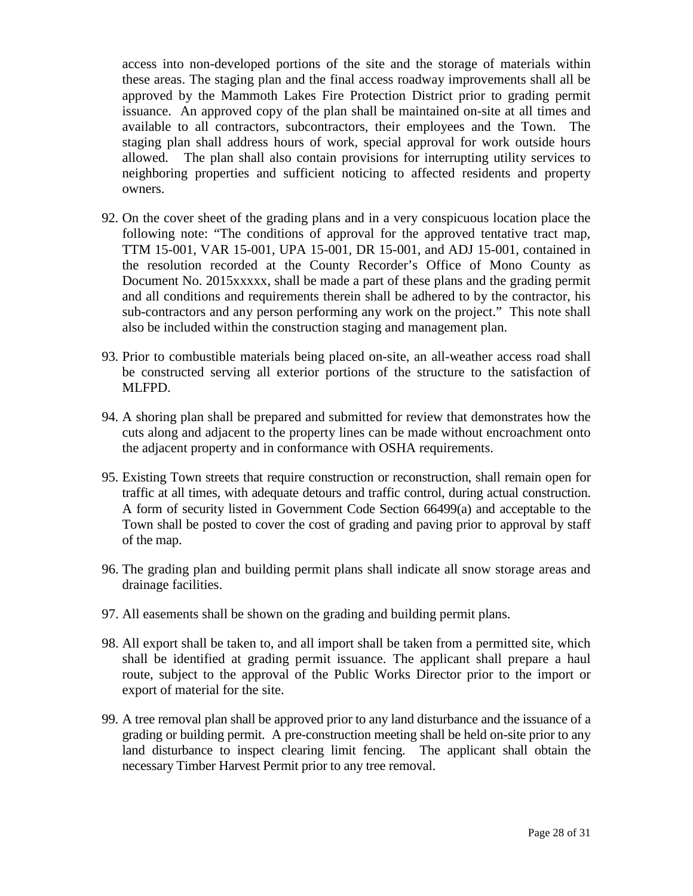access into non-developed portions of the site and the storage of materials within these areas. The staging plan and the final access roadway improvements shall all be approved by the Mammoth Lakes Fire Protection District prior to grading permit issuance. An approved copy of the plan shall be maintained on-site at all times and available to all contractors, subcontractors, their employees and the Town. The staging plan shall address hours of work, special approval for work outside hours allowed. The plan shall also contain provisions for interrupting utility services to neighboring properties and sufficient noticing to affected residents and property owners.

- 92. On the cover sheet of the grading plans and in a very conspicuous location place the following note: "The conditions of approval for the approved tentative tract map, TTM 15-001, VAR 15-001, UPA 15-001, DR 15-001, and ADJ 15-001, contained in the resolution recorded at the County Recorder's Office of Mono County as Document No. 2015xxxxx, shall be made a part of these plans and the grading permit and all conditions and requirements therein shall be adhered to by the contractor, his sub-contractors and any person performing any work on the project." This note shall also be included within the construction staging and management plan.
- 93. Prior to combustible materials being placed on-site, an all-weather access road shall be constructed serving all exterior portions of the structure to the satisfaction of MLFPD.
- 94. A shoring plan shall be prepared and submitted for review that demonstrates how the cuts along and adjacent to the property lines can be made without encroachment onto the adjacent property and in conformance with OSHA requirements.
- 95. Existing Town streets that require construction or reconstruction, shall remain open for traffic at all times, with adequate detours and traffic control, during actual construction. A form of security listed in Government Code Section 66499(a) and acceptable to the Town shall be posted to cover the cost of grading and paving prior to approval by staff of the map.
- 96. The grading plan and building permit plans shall indicate all snow storage areas and drainage facilities.
- 97. All easements shall be shown on the grading and building permit plans.
- 98. All export shall be taken to, and all import shall be taken from a permitted site, which shall be identified at grading permit issuance. The applicant shall prepare a haul route, subject to the approval of the Public Works Director prior to the import or export of material for the site.
- 99. A tree removal plan shall be approved prior to any land disturbance and the issuance of a grading or building permit. A pre-construction meeting shall be held on-site prior to any land disturbance to inspect clearing limit fencing. The applicant shall obtain the necessary Timber Harvest Permit prior to any tree removal.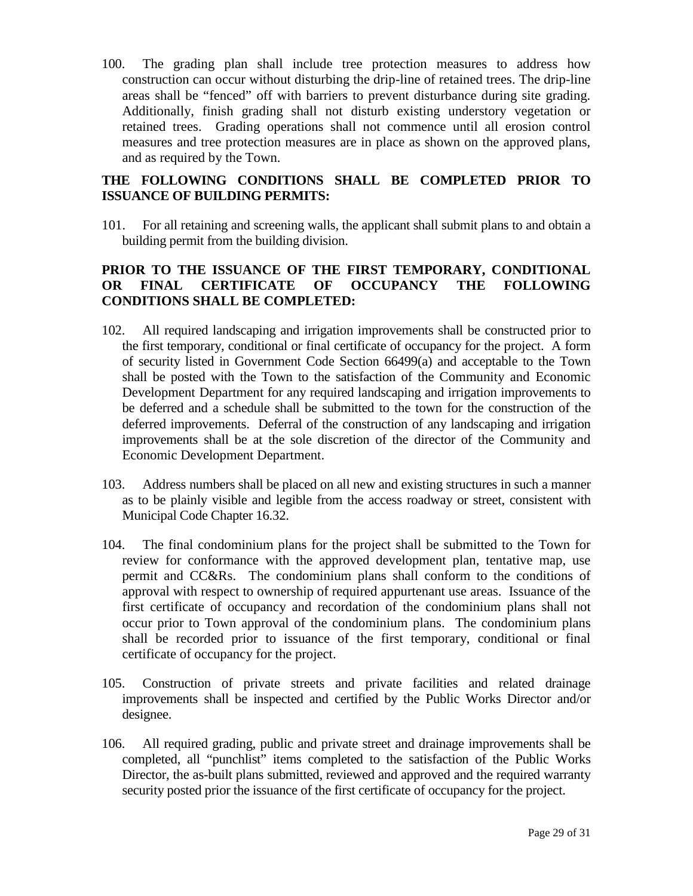100. The grading plan shall include tree protection measures to address how construction can occur without disturbing the drip-line of retained trees. The drip-line areas shall be "fenced" off with barriers to prevent disturbance during site grading. Additionally, finish grading shall not disturb existing understory vegetation or retained trees. Grading operations shall not commence until all erosion control measures and tree protection measures are in place as shown on the approved plans, and as required by the Town.

### **THE FOLLOWING CONDITIONS SHALL BE COMPLETED PRIOR TO ISSUANCE OF BUILDING PERMITS:**

101. For all retaining and screening walls, the applicant shall submit plans to and obtain a building permit from the building division.

# **PRIOR TO THE ISSUANCE OF THE FIRST TEMPORARY, CONDITIONAL OR FINAL CERTIFICATE OF OCCUPANCY THE FOLLOWING CONDITIONS SHALL BE COMPLETED:**

- 102. All required landscaping and irrigation improvements shall be constructed prior to the first temporary, conditional or final certificate of occupancy for the project. A form of security listed in Government Code Section 66499(a) and acceptable to the Town shall be posted with the Town to the satisfaction of the Community and Economic Development Department for any required landscaping and irrigation improvements to be deferred and a schedule shall be submitted to the town for the construction of the deferred improvements. Deferral of the construction of any landscaping and irrigation improvements shall be at the sole discretion of the director of the Community and Economic Development Department.
- 103. Address numbers shall be placed on all new and existing structures in such a manner as to be plainly visible and legible from the access roadway or street, consistent with Municipal Code Chapter 16.32.
- 104. The final condominium plans for the project shall be submitted to the Town for review for conformance with the approved development plan, tentative map, use permit and CC&Rs. The condominium plans shall conform to the conditions of approval with respect to ownership of required appurtenant use areas. Issuance of the first certificate of occupancy and recordation of the condominium plans shall not occur prior to Town approval of the condominium plans. The condominium plans shall be recorded prior to issuance of the first temporary, conditional or final certificate of occupancy for the project.
- 105. Construction of private streets and private facilities and related drainage improvements shall be inspected and certified by the Public Works Director and/or designee.
- 106. All required grading, public and private street and drainage improvements shall be completed, all "punchlist" items completed to the satisfaction of the Public Works Director, the as-built plans submitted, reviewed and approved and the required warranty security posted prior the issuance of the first certificate of occupancy for the project.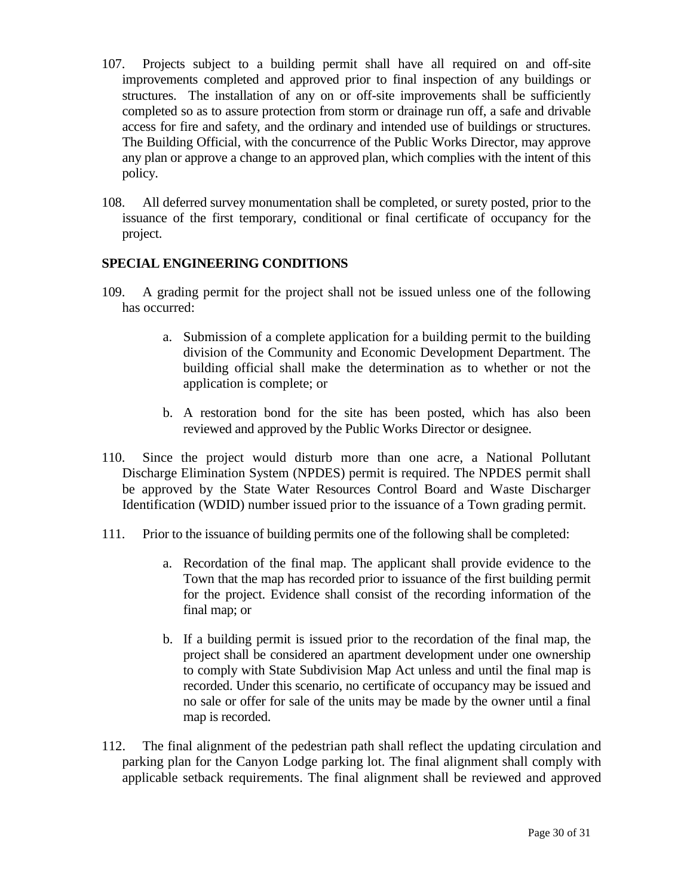- 107. Projects subject to a building permit shall have all required on and off-site improvements completed and approved prior to final inspection of any buildings or structures. The installation of any on or off-site improvements shall be sufficiently completed so as to assure protection from storm or drainage run off, a safe and drivable access for fire and safety, and the ordinary and intended use of buildings or structures. The Building Official, with the concurrence of the Public Works Director, may approve any plan or approve a change to an approved plan, which complies with the intent of this policy.
- 108. All deferred survey monumentation shall be completed, or surety posted, prior to the issuance of the first temporary, conditional or final certificate of occupancy for the project.

### **SPECIAL ENGINEERING CONDITIONS**

- 109. A grading permit for the project shall not be issued unless one of the following has occurred:
	- a. Submission of a complete application for a building permit to the building division of the Community and Economic Development Department. The building official shall make the determination as to whether or not the application is complete; or
	- b. A restoration bond for the site has been posted, which has also been reviewed and approved by the Public Works Director or designee.
- 110. Since the project would disturb more than one acre, a National Pollutant Discharge Elimination System (NPDES) permit is required. The NPDES permit shall be approved by the State Water Resources Control Board and Waste Discharger Identification (WDID) number issued prior to the issuance of a Town grading permit.
- 111. Prior to the issuance of building permits one of the following shall be completed:
	- a. Recordation of the final map. The applicant shall provide evidence to the Town that the map has recorded prior to issuance of the first building permit for the project. Evidence shall consist of the recording information of the final map; or
	- b. If a building permit is issued prior to the recordation of the final map, the project shall be considered an apartment development under one ownership to comply with State Subdivision Map Act unless and until the final map is recorded. Under this scenario, no certificate of occupancy may be issued and no sale or offer for sale of the units may be made by the owner until a final map is recorded.
- 112. The final alignment of the pedestrian path shall reflect the updating circulation and parking plan for the Canyon Lodge parking lot. The final alignment shall comply with applicable setback requirements. The final alignment shall be reviewed and approved